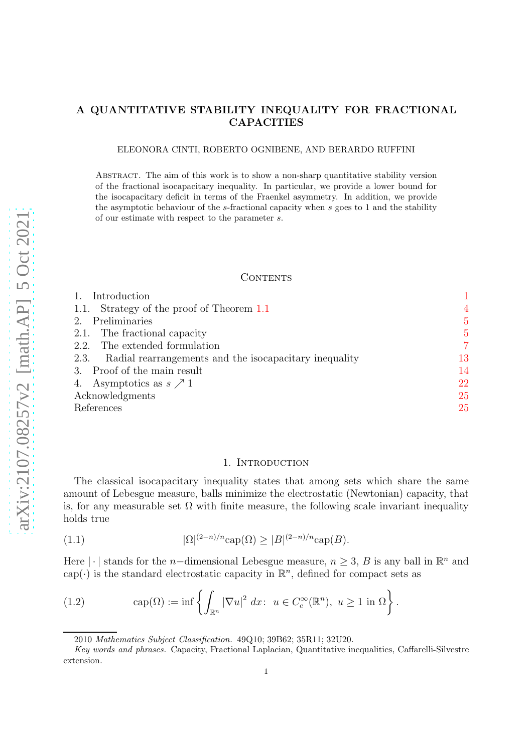# A QUANTITATIVE STABILITY INEQUALITY FOR FRACTIONAL CAPACITIES

#### ELEONORA CINTI, ROBERTO OGNIBENE, AND BERARDO RUFFINI

Abstract. The aim of this work is to show a non-sharp quantitative stability version of the fractional isocapacitary inequality. In particular, we provide a lower bound for the isocapacitary deficit in terms of the Fraenkel asymmetry. In addition, we provide the asymptotic behaviour of the s-fractional capacity when s goes to 1 and the stability of our estimate with respect to the parameter s.

#### **CONTENTS**

| Introduction                                                |                |
|-------------------------------------------------------------|----------------|
| 1.1. Strategy of the proof of Theorem 1.1                   | $\overline{4}$ |
| Preliminaries<br>2.                                         | $\overline{5}$ |
| 2.1. The fractional capacity                                | $\overline{5}$ |
| 2.2. The extended formulation                               | 7              |
| 2.3. Radial rearrangements and the isocapacitary inequality | 13             |
| 3. Proof of the main result                                 | 14             |
| 4. Asymptotics as $s \nearrow 1$                            | 22             |
| Acknowledgments                                             | 25             |
| References                                                  | 25             |

## 1. Introduction

<span id="page-0-0"></span>The classical isocapacitary inequality states that among sets which share the same amount of Lebesgue measure, balls minimize the electrostatic (Newtonian) capacity, that is, for any measurable set  $\Omega$  with finite measure, the following scale invariant inequality holds true

<span id="page-0-1"></span>(1.1) 
$$
|\Omega|^{(2-n)/n} \text{cap}(\Omega) \ge |B|^{(2-n)/n} \text{cap}(B).
$$

Here |  $\cdot$  | stands for the *n*-dimensional Lebesgue measure,  $n \geq 3$ , B is any ball in  $\mathbb{R}^n$  and cap( $\cdot$ ) is the standard electrostatic capacity in  $\mathbb{R}^n$ , defined for compact sets as

<span id="page-0-2"></span>(1.2) 
$$
\operatorname{cap}(\Omega) := \inf \left\{ \int_{\mathbb{R}^n} |\nabla u|^2 dx : u \in C_c^{\infty}(\mathbb{R}^n), u \ge 1 \text{ in } \Omega \right\}.
$$

<sup>2010</sup> Mathematics Subject Classification. 49Q10; 39B62; 35R11; 32U20.

Key words and phrases. Capacity, Fractional Laplacian, Quantitative inequalities, Caffarelli-Silvestre extension.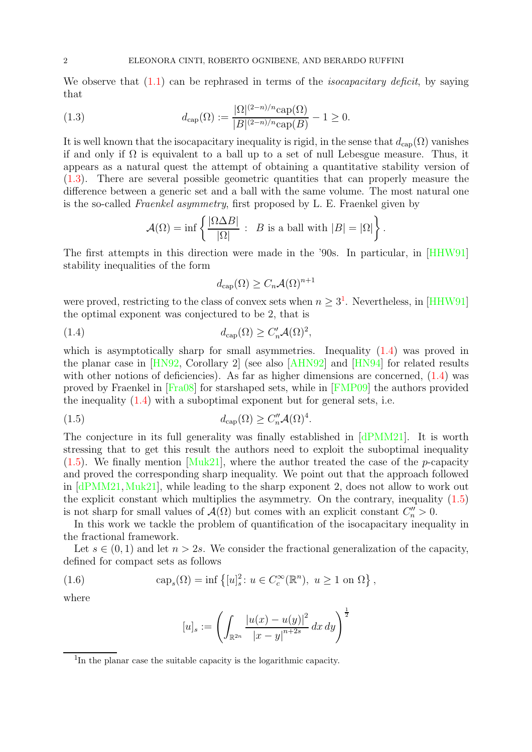We observe that  $(1.1)$  can be rephrased in terms of the *isocapacitary deficit*, by saying that

<span id="page-1-0"></span>(1.3) 
$$
d_{\text{cap}}(\Omega) := \frac{|\Omega|^{(2-n)/n} \text{cap}(\Omega)}{|B|^{(2-n)/n} \text{cap}(B)} - 1 \ge 0.
$$

It is well known that the isocapacitary inequality is rigid, in the sense that  $d_{\text{cap}}(\Omega)$  vanishes if and only if  $\Omega$  is equivalent to a ball up to a set of null Lebesgue measure. Thus, it appears as a natural quest the attempt of obtaining a quantitative stability version of [\(1.3\)](#page-1-0). There are several possible geometric quantities that can properly measure the difference between a generic set and a ball with the same volume. The most natural one is the so-called Fraenkel asymmetry, first proposed by L. E. Fraenkel given by

$$
\mathcal{A}(\Omega) = \inf \left\{ \frac{|\Omega \Delta B|}{|\Omega|} : B \text{ is a ball with } |B| = |\Omega| \right\}.
$$

The first attempts in this direction were made in the '90s. In particular, in [\[HHW91\]](#page-25-0) stability inequalities of the form

$$
d_{\text{cap}}(\Omega) \ge C_n \mathcal{A}(\Omega)^{n+1}
$$

were proved, restricting to the class of convex sets when  $n \geq 3^1$  $n \geq 3^1$ . Nevertheless, in [\[HHW91\]](#page-25-0) the optimal exponent was conjectured to be 2, that is

<span id="page-1-2"></span>(1.4) 
$$
d_{\text{cap}}(\Omega) \ge C'_n \mathcal{A}(\Omega)^2,
$$

which is asymptotically sharp for small asymmetries. Inequality  $(1.4)$  was proved in the planar case in [\[HN92,](#page-25-1) Corollary 2] (see also [\[AHN92\]](#page-24-2) and [\[HN94\]](#page-25-2) for related results with other notions of deficiencies). As far as higher dimensions are concerned,  $(1.4)$  was proved by Fraenkel in [\[Fra08\]](#page-25-3) for starshaped sets, while in [\[FMP09\]](#page-25-4) the authors provided the inequality  $(1.4)$  with a suboptimal exponent but for general sets, i.e.

<span id="page-1-3"></span>(1.5) 
$$
d_{\text{cap}}(\Omega) \ge C''_n \mathcal{A}(\Omega)^4.
$$

The conjecture in its full generality was finally established in [\[dPMM21\]](#page-25-5). It is worth stressing that to get this result the authors need to exploit the suboptimal inequality  $(1.5)$ . We finally mention [\[Muk21\]](#page-25-6), where the author treated the case of the *p*-capacity and proved the corresponding sharp inequality. We point out that the approach followed in [\[dPMM21,](#page-25-5)[Muk21\]](#page-25-6), while leading to the sharp exponent 2, does not allow to work out the explicit constant which multiplies the asymmetry. On the contrary, inequality  $(1.5)$ is not sharp for small values of  $\mathcal{A}(\Omega)$  but comes with an explicit constant  $C_n'' > 0$ .

In this work we tackle the problem of quantification of the isocapacitary inequality in the fractional framework.

Let  $s \in (0, 1)$  and let  $n > 2s$ . We consider the fractional generalization of the capacity, defined for compact sets as follows

<span id="page-1-4"></span>(1.6) 
$$
\operatorname{cap}_s(\Omega) = \inf \left\{ [u]_s^2 : u \in C_c^{\infty}(\mathbb{R}^n), u \ge 1 \text{ on } \Omega \right\},\
$$

where

$$
[u]_s := \left( \int_{\mathbb{R}^{2n}} \frac{|u(x) - u(y)|^2}{|x - y|^{n+2s}} \, dx \, dy \right)^{\frac{1}{2}}
$$

<span id="page-1-1"></span><sup>&</sup>lt;sup>1</sup>In the planar case the suitable capacity is the logarithmic capacity.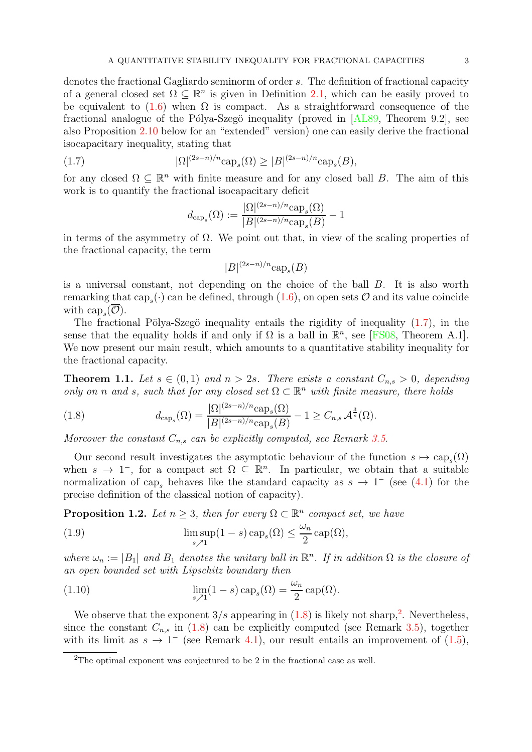denotes the fractional Gagliardo seminorm of order s. The definition of fractional capacity of a general closed set  $\Omega \subseteq \mathbb{R}^n$  is given in Definition [2.1,](#page-5-0) which can be easily proved to be equivalent to  $(1.6)$  when  $\Omega$  is compact. As a straightforward consequence of the fractional analogue of the Pólya-Szegö inequality (proved in  $[AL89, Theorem 9.2]$ , see also Proposition [2.10](#page-13-1) below for an "extended" version) one can easily derive the fractional isocapacitary inequality, stating that

<span id="page-2-1"></span>(1.7) 
$$
|\Omega|^{(2s-n)/n} \cosh(\Omega) \ge |B|^{(2s-n)/n} \cosh(B),
$$

for any closed  $\Omega \subseteq \mathbb{R}^n$  with finite measure and for any closed ball B. The aim of this work is to quantify the fractional isocapacitary deficit

$$
d_{\text{cap}_s}(\Omega) := \frac{|\Omega|^{(2s-n)/n} \text{cap}_s(\Omega)}{|B|^{(2s-n)/n} \text{cap}_s(B)} - 1
$$

in terms of the asymmetry of  $\Omega$ . We point out that, in view of the scaling properties of the fractional capacity, the term

$$
|B|^{(2s-n)/n} \text{cap}_s(B)
$$

is a universal constant, not depending on the choice of the ball B. It is also worth remarking that  $cap_s(\cdot)$  can be defined, through  $(1.6)$ , on open sets  $\mathcal O$  and its value coincide with  $\text{cap}_s(\mathcal{O}).$ 

The fractional Pölya-Szegö inequality entails the rigidity of inequality  $(1.7)$ , in the sense that the equality holds if and only if  $\Omega$  is a ball in  $\mathbb{R}^n$ , see [\[FS08,](#page-25-7) Theorem A.1]. We now present our main result, which amounts to a quantitative stability inequality for the fractional capacity.

<span id="page-2-0"></span>**Theorem 1.1.** Let  $s \in (0,1)$  and  $n > 2s$ . There exists a constant  $C_{n,s} > 0$ , depending only on n and s, such that for any closed set  $\Omega \subset \mathbb{R}^n$  with finite measure, there holds

<span id="page-2-2"></span>(1.8) 
$$
d_{\text{cap}_s}(\Omega) = \frac{|\Omega|^{(2s-n)/n} \text{cap}_s(\Omega)}{|B|^{(2s-n)/n} \text{cap}_s(B)} - 1 \ge C_{n,s} \mathcal{A}^{\frac{3}{s}}(\Omega).
$$

Moreover the constant  $C_{n,s}$  can be explicitly computed, see Remark [3.5.](#page-21-1)

Our second result investigates the asymptotic behaviour of the function  $s \mapsto \text{cap}_s(\Omega)$ when  $s \to 1^-$ , for a compact set  $\Omega \subseteq \mathbb{R}^n$ . In particular, we obtain that a suitable normalization of cap<sub>s</sub> behaves like the standard capacity as  $s \to 1^-$  (see [\(4.1\)](#page-21-2) for the precise definition of the classical notion of capacity).

<span id="page-2-4"></span>**Proposition 1.2.** Let  $n \geq 3$ , then for every  $\Omega \subset \mathbb{R}^n$  compact set, we have

<span id="page-2-5"></span>(1.9) 
$$
\limsup_{s \nearrow 1} (1-s) \operatorname{cap}_s(\Omega) \le \frac{\omega_n}{2} \operatorname{cap}(\Omega),
$$

where  $\omega_n := |B_1|$  and  $B_1$  denotes the unitary ball in  $\mathbb{R}^n$ . If in addition  $\Omega$  is the closure of an open bounded set with Lipschitz boundary then

<span id="page-2-6"></span>(1.10) 
$$
\lim_{s \nearrow 1} (1-s) \operatorname{cap}_s(\Omega) = \frac{\omega_n}{2} \operatorname{cap}(\Omega).
$$

We observe that the exponent  $3/s$  appearing in  $(1.8)$  is likely not sharp,<sup>[2](#page-2-3)</sup>. Nevertheless, since the constant  $C_{n,s}$  in [\(1.8\)](#page-2-2) can be explicitly computed (see Remark [3.5\)](#page-21-1), together with its limit as  $s \to 1^-$  (see Remark [4.1\)](#page-23-0), our result entails an improvement of  $(1.5)$ ,

<span id="page-2-3"></span><sup>2</sup>The optimal exponent was conjectured to be 2 in the fractional case as well.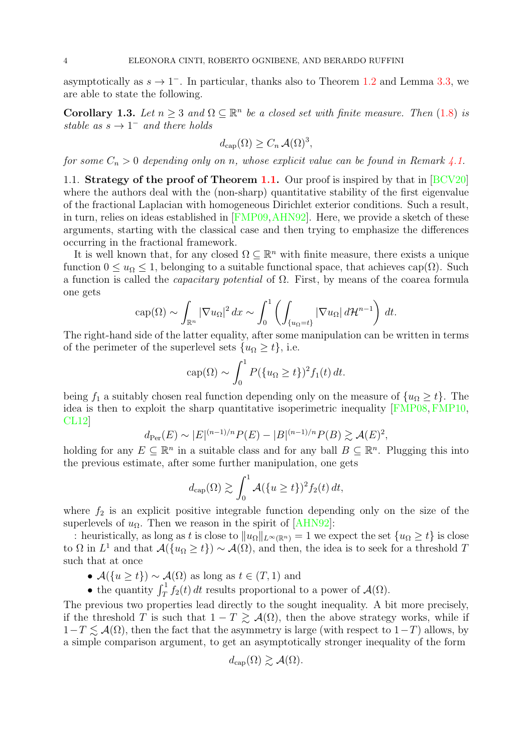asymptotically as  $s \to 1^-$ . In particular, thanks also to Theorem [1.2](#page-2-4) and Lemma [3.3,](#page-15-0) we are able to state the following.

<span id="page-3-1"></span>**Corollary 1.3.** Let  $n \geq 3$  and  $\Omega \subseteq \mathbb{R}^n$  be a closed set with finite measure. Then [\(1.8\)](#page-2-2) is stable as  $s \to 1^-$  and there holds

$$
d_{\text{cap}}(\Omega) \ge C_n \mathcal{A}(\Omega)^3,
$$

<span id="page-3-0"></span>for some  $C_n > 0$  depending only on n, whose explicit value can be found in Remark [4.1.](#page-23-0)

1.1. Strategy of the proof of Theorem [1.1.](#page-2-0) Our proof is inspired by that in [\[BCV20\]](#page-24-4) where the authors deal with the (non-sharp) quantitative stability of the first eigenvalue of the fractional Laplacian with homogeneous Dirichlet exterior conditions. Such a result, in turn, relies on ideas established in [\[FMP09,](#page-25-4)[AHN92\]](#page-24-2). Here, we provide a sketch of these arguments, starting with the classical case and then trying to emphasize the differences occurring in the fractional framework.

It is well known that, for any closed  $\Omega \subseteq \mathbb{R}^n$  with finite measure, there exists a unique function  $0 \leq u_{\Omega} \leq 1$ , belonging to a suitable functional space, that achieves cap( $\Omega$ ). Such a function is called the *capacitary potential* of  $\Omega$ . First, by means of the coarea formula one gets

$$
\operatorname{cap}(\Omega) \sim \int_{\mathbb{R}^n} |\nabla u_{\Omega}|^2 dx \sim \int_0^1 \left( \int_{\{u_{\Omega}=t\}} |\nabla u_{\Omega}| d\mathcal{H}^{n-1} \right) dt.
$$

The right-hand side of the latter equality, after some manipulation can be written in terms of the perimeter of the superlevel sets  $\{u_{\Omega} \geq t\}$ , i.e.

$$
\operatorname{cap}(\Omega) \sim \int_0^1 P(\{u_{\Omega} \ge t\})^2 f_1(t) dt.
$$

being  $f_1$  a suitably chosen real function depending only on the measure of  $\{u_{\Omega} \geq t\}$ . The idea is then to exploit the sharp quantitative isoperimetric inequality [\[FMP08,](#page-25-8) [FMP10,](#page-25-9) [CL12\]](#page-24-5)

$$
d_{\text{Per}}(E) \sim |E|^{(n-1)/n} P(E) - |B|^{(n-1)/n} P(B) \gtrsim \mathcal{A}(E)^2
$$

holding for any  $E \subseteq \mathbb{R}^n$  in a suitable class and for any ball  $B \subseteq \mathbb{R}^n$ . Plugging this into the previous estimate, after some further manipulation, one gets

$$
d_{\rm cap}(\Omega) \gtrsim \int_0^1 \mathcal{A}(\{u \ge t\})^2 f_2(t) dt,
$$

where  $f_2$  is an explicit positive integrable function depending only on the size of the superlevels of  $u_{\Omega}$ . Then we reason in the spirit of [\[AHN92\]](#page-24-2):

: heuristically, as long as t is close to  $||u_{\Omega}||_{L^{\infty}(\mathbb{R}^n)} = 1$  we expect the set  ${u_{\Omega} \ge t}$  is close to  $\Omega$  in  $L^1$  and that  $\mathcal{A}(\{u_{\Omega}\geq t\})\sim\mathcal{A}(\Omega)$ , and then, the idea is to seek for a threshold T such that at once

- $\mathcal{A}(\{u \geq t\}) \sim \mathcal{A}(\Omega)$  as long as  $t \in (T, 1)$  and
- the quantity  $\int_T^1 f_2(t) dt$  results proportional to a power of  $\mathcal{A}(\Omega)$ .

The previous two properties lead directly to the sought inequality. A bit more precisely, if the threshold T is such that  $1 - T \geq A(\Omega)$ , then the above strategy works, while if  $1-T \lesssim \mathcal{A}(\Omega)$ , then the fact that the asymmetry is large (with respect to  $1-T$ ) allows, by a simple comparison argument, to get an asymptotically stronger inequality of the form

$$
d_{\rm cap}(\Omega) \gtrsim \mathcal{A}(\Omega).
$$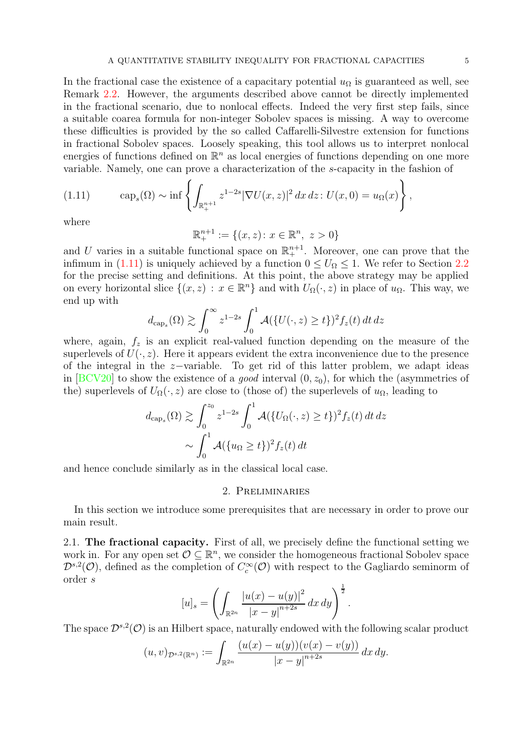In the fractional case the existence of a capacitary potential  $u_{\Omega}$  is guaranteed as well, see Remark [2.2.](#page-5-1) However, the arguments described above cannot be directly implemented in the fractional scenario, due to nonlocal effects. Indeed the very first step fails, since a suitable coarea formula for non-integer Sobolev spaces is missing. A way to overcome these difficulties is provided by the so called Caffarelli-Silvestre extension for functions in fractional Sobolev spaces. Loosely speaking, this tool allows us to interpret nonlocal energies of functions defined on  $\mathbb{R}^n$  as local energies of functions depending on one more variable. Namely, one can prove a characterization of the s-capacity in the fashion of

<span id="page-4-2"></span>(1.11) 
$$
\text{cap}_s(\Omega) \sim \inf \left\{ \int_{\mathbb{R}^{n+1}_+} z^{1-2s} |\nabla U(x, z)|^2 dx dz : U(x, 0) = u_{\Omega}(x) \right\},
$$

where

$$
\mathbb{R}^{n+1}_+ := \{(x, z) \colon x \in \mathbb{R}^n, \ z > 0\}
$$

and U varies in a suitable functional space on  $\mathbb{R}^{n+1}_+$ . Moreover, one can prove that the infimum in [\(1.11\)](#page-4-2) is uniquely achieved by a function  $0 \leq U_{\Omega} \leq 1$ . We refer to Section [2.2](#page-6-0) for the precise setting and definitions. At this point, the above strategy may be applied on every horizontal slice  $\{(x, z) : x \in \mathbb{R}^n\}$  and with  $U_{\Omega}(\cdot, z)$  in place of  $u_{\Omega}$ . This way, we end up with

$$
d_{\text{cap}_s}(\Omega) \gtrsim \int_0^\infty z^{1-2s} \int_0^1 \mathcal{A}(\{U(\cdot, z) \ge t\})^2 f_z(t) dt dz
$$

where, again,  $f_z$  is an explicit real-valued function depending on the measure of the superlevels of  $U(\cdot, z)$ . Here it appears evident the extra inconvenience due to the presence of the integral in the z−variable. To get rid of this latter problem, we adapt ideas in  $[BCV20]$  to show the existence of a *good* interval  $(0, z_0)$ , for which the (asymmetries of the) superlevels of  $U_{\Omega}(\cdot, z)$  are close to (those of) the superlevels of  $u_{\Omega}$ , leading to

$$
d_{\text{cap}_s}(\Omega) \gtrsim \int_0^{z_0} z^{1-2s} \int_0^1 \mathcal{A}(\{U_\Omega(\cdot, z) \ge t\})^2 f_z(t) dt dz
$$
  
 
$$
\sim \int_0^1 \mathcal{A}(\{u_\Omega \ge t\})^2 f_z(t) dt
$$

<span id="page-4-0"></span>and hence conclude similarly as in the classical local case.

### 2. Preliminaries

In this section we introduce some prerequisites that are necessary in order to prove our main result.

<span id="page-4-1"></span>2.1. The fractional capacity. First of all, we precisely define the functional setting we work in. For any open set  $\mathcal{O} \subseteq \mathbb{R}^n$ , we consider the homogeneous fractional Sobolev space  $\mathcal{D}^{s,2}(\mathcal{O})$ , defined as the completion of  $C_c^{\infty}(\mathcal{O})$  with respect to the Gagliardo seminorm of order s

$$
[u]_s = \left( \int_{\mathbb{R}^{2n}} \frac{|u(x) - u(y)|^2}{|x - y|^{n+2s}} dx dy \right)^{\frac{1}{2}}.
$$

The space  $\mathcal{D}^{s,2}(\mathcal{O})$  is an Hilbert space, naturally endowed with the following scalar product

$$
(u,v)_{\mathcal{D}^{s,2}(\mathbb{R}^n)} := \int_{\mathbb{R}^{2n}} \frac{(u(x) - u(y))(v(x) - v(y))}{|x - y|^{n+2s}} dx dy.
$$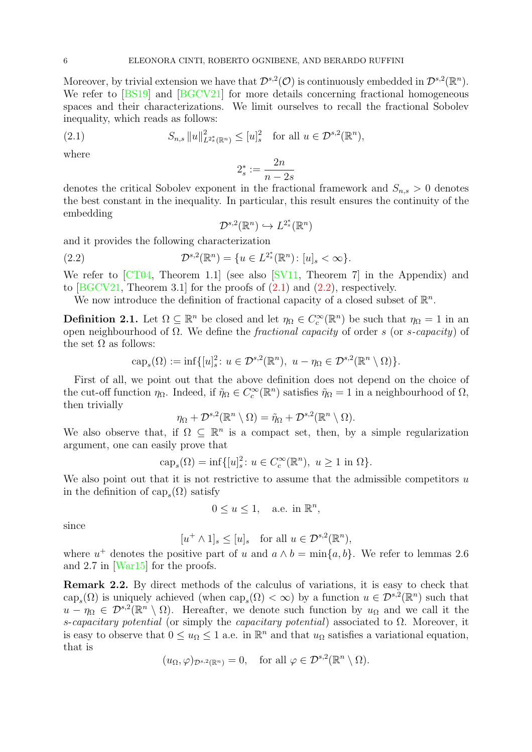Moreover, by trivial extension we have that  $\mathcal{D}^{s,2}(\mathcal{O})$  is continuously embedded in  $\mathcal{D}^{s,2}(\mathbb{R}^n)$ . We refer to [\[BS19\]](#page-24-6) and [\[BGCV21\]](#page-24-7) for more details concerning fractional homogeneous spaces and their characterizations. We limit ourselves to recall the fractional Sobolev inequality, which reads as follows:

<span id="page-5-2"></span>(2.1) 
$$
S_{n,s} \|u\|_{L^{2_s^*}(\mathbb{R}^n)}^2 \leq [u]_s^2 \text{ for all } u \in \mathcal{D}^{s,2}(\mathbb{R}^n),
$$

where

$$
2_s^* := \frac{2n}{n-2s}
$$

denotes the critical Sobolev exponent in the fractional framework and  $S_{n,s} > 0$  denotes the best constant in the inequality. In particular, this result ensures the continuity of the embedding

$$
\mathcal{D}^{s,2}(\mathbb{R}^n)\hookrightarrow L^{2^*_s}(\mathbb{R}^n)
$$

and it provides the following characterization

<span id="page-5-3"></span>(2.2) 
$$
\mathcal{D}^{s,2}(\mathbb{R}^n) = \{u \in L^{2_s^*}(\mathbb{R}^n) : [u]_s < \infty\}.
$$

We refer to [\[CT04,](#page-25-10) Theorem 1.1] (see also [\[SV11,](#page-25-11) Theorem 7] in the Appendix) and to  $[BGCV21, Theorem 3.1]$  for the proofs of  $(2.1)$  and  $(2.2)$ , respectively.

We now introduce the definition of fractional capacity of a closed subset of  $\mathbb{R}^n$ .

<span id="page-5-0"></span>**Definition 2.1.** Let  $\Omega \subseteq \mathbb{R}^n$  be closed and let  $\eta_{\Omega} \in C_c^{\infty}(\mathbb{R}^n)$  be such that  $\eta_{\Omega} = 1$  in an open neighbourhood of Ω. We define the *fractional capacity* of order s (or s-capacity) of the set  $\Omega$  as follows:

$$
\text{cap}_s(\Omega) := \inf \{ [u]_s^2 : u \in \mathcal{D}^{s,2}(\mathbb{R}^n), \ u - \eta_\Omega \in \mathcal{D}^{s,2}(\mathbb{R}^n \setminus \Omega) \}.
$$

First of all, we point out that the above definition does not depend on the choice of the cut-off function  $\eta_{\Omega}$ . Indeed, if  $\tilde{\eta}_{\Omega} \in C_c^{\infty}(\mathbb{R}^n)$  satisfies  $\tilde{\eta}_{\Omega} = 1$  in a neighbourhood of  $\Omega$ , then trivially

$$
\eta_{\Omega} + \mathcal{D}^{s,2}(\mathbb{R}^n \setminus \Omega) = \tilde{\eta}_{\Omega} + \mathcal{D}^{s,2}(\mathbb{R}^n \setminus \Omega).
$$

We also observe that, if  $\Omega \subseteq \mathbb{R}^n$  is a compact set, then, by a simple regularization argument, one can easily prove that

$$
\text{cap}_s(\Omega) = \inf\{ [u]_s^2 \colon u \in C_c^{\infty}(\mathbb{R}^n), \ u \ge 1 \text{ in } \Omega \}.
$$

We also point out that it is not restrictive to assume that the admissible competitors  $u$ in the definition of  $\text{cap}_s(\Omega)$  satisfy

$$
0 \le u \le 1, \quad \text{a.e. in } \mathbb{R}^n,
$$

since

$$
[u^+ \wedge 1]_s \le [u]_s \quad \text{for all } u \in \mathcal{D}^{s,2}(\mathbb{R}^n),
$$

where  $u^+$  denotes the positive part of u and  $a \wedge b = \min\{a, b\}$ . We refer to lemmas 2.6 and 2.7 in [\[War15\]](#page-25-12) for the proofs.

<span id="page-5-1"></span>Remark 2.2. By direct methods of the calculus of variations, it is easy to check that  $\text{cap}_s(\Omega)$  is uniquely achieved (when  $\text{cap}_s(\Omega) < \infty$ ) by a function  $u \in \mathcal{D}^{s,2}(\mathbb{R}^n)$  such that  $u - \eta_{\Omega} \in \mathcal{D}^{s,2}(\mathbb{R}^n \setminus \Omega)$ . Hereafter, we denote such function by  $u_{\Omega}$  and we call it the s-capacitary potential (or simply the capacitary potential) associated to  $\Omega$ . Moreover, it is easy to observe that  $0 \le u_{\Omega} \le 1$  a.e. in  $\mathbb{R}^n$  and that  $u_{\Omega}$  satisfies a variational equation, that is

$$
(u_{\Omega}, \varphi)_{\mathcal{D}^{s,2}(\mathbb{R}^n)} = 0
$$
, for all  $\varphi \in \mathcal{D}^{s,2}(\mathbb{R}^n \setminus \Omega)$ .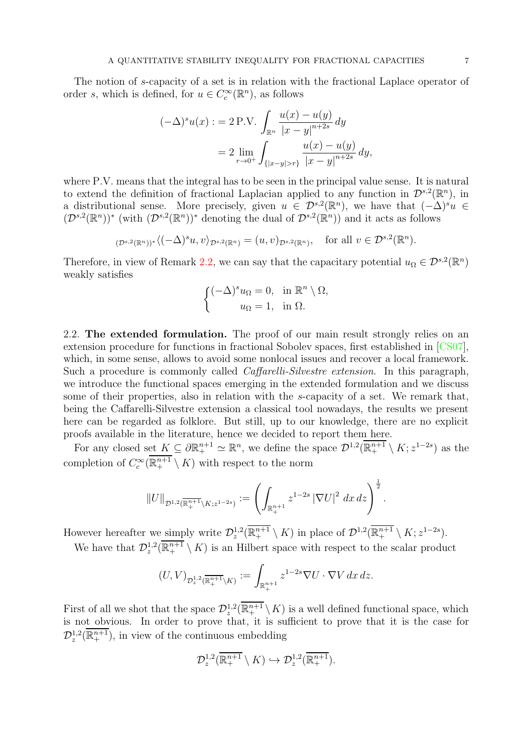The notion of s-capacity of a set is in relation with the fractional Laplace operator of order s, which is defined, for  $u \in C_c^{\infty}(\mathbb{R}^n)$ , as follows

$$
(-\Delta)^s u(x) := 2 \text{ P.V.} \int_{\mathbb{R}^n} \frac{u(x) - u(y)}{|x - y|^{n+2s}} dy
$$
  
= 
$$
2 \lim_{r \to 0^+} \int_{\{|x - y| > r\}} \frac{u(x) - u(y)}{|x - y|^{n+2s}} dy,
$$

where P.V. means that the integral has to be seen in the principal value sense. It is natural to extend the definition of fractional Laplacian applied to any function in  $\mathcal{D}^{s,2}(\mathbb{R}^n)$ , in a distributional sense. More precisely, given  $u \in \mathcal{D}^{s,2}(\mathbb{R}^n)$ , we have that  $(-\Delta)^su \in \mathbb{C}^{s,2}(\mathbb{R}^n)$  $(\mathcal{D}^{s,2}(\mathbb{R}^n))^*$  (with  $(\mathcal{D}^{s,2}(\mathbb{R}^n))^*$  denoting the dual of  $\mathcal{D}^{s,2}(\mathbb{R}^n)$ ) and it acts as follows

$$
(\mathcal{D}^{s,2}(\mathbb{R}^n))^* \langle (-\Delta)^s u, v \rangle_{\mathcal{D}^{s,2}(\mathbb{R}^n)} = (u,v)_{\mathcal{D}^{s,2}(\mathbb{R}^n)}, \text{ for all } v \in \mathcal{D}^{s,2}(\mathbb{R}^n).
$$

Therefore, in view of Remark [2.2,](#page-5-1) we can say that the capacitary potential  $u_{\Omega} \in \mathcal{D}^{s,2}(\mathbb{R}^n)$ weakly satisfies

$$
\begin{cases}\n(-\Delta)^s u_{\Omega} = 0, & \text{in } \mathbb{R}^n \setminus \Omega, \\
u_{\Omega} = 1, & \text{in } \Omega.\n\end{cases}
$$

<span id="page-6-0"></span>2.2. The extended formulation. The proof of our main result strongly relies on an extension procedure for functions in fractional Sobolev spaces, first established in [\[CS07\]](#page-24-8), which, in some sense, allows to avoid some nonlocal issues and recover a local framework. Such a procedure is commonly called Caffarelli-Silvestre extension. In this paragraph, we introduce the functional spaces emerging in the extended formulation and we discuss some of their properties, also in relation with the s-capacity of a set. We remark that, being the Caffarelli-Silvestre extension a classical tool nowadays, the results we present here can be regarded as folklore. But still, up to our knowledge, there are no explicit proofs available in the literature, hence we decided to report them here.

For any closed set  $K \subseteq \partial \mathbb{R}^{n+1}_+ \simeq \mathbb{R}^n$ , we define the space  $\mathcal{D}^{1,2}(\overline{\mathbb{R}^{n+1}_+} \setminus K; z^{1-2s})$  as the completion of  $C_c^{\infty}(\overline{\mathbb{R}^{n+1}_+} \setminus K)$  with respect to the norm

$$
||U||_{\mathcal{D}^{1,2}(\overline{\mathbb{R}^{n+1}_+}\setminus K; z^{1-2s})} := \left(\int_{\mathbb{R}^{n+1}_+} z^{1-2s} \, |\nabla U|^2 \, dx \, dz\right)^{\frac{1}{2}}.
$$

However hereafter we simply write  $\mathcal{D}_z^{1,2}(\overline{\mathbb{R}_+^{n+1}} \setminus K)$  in place of  $\mathcal{D}^{1,2}(\overline{\mathbb{R}_+^{n+1}} \setminus K; z^{1-2s})$ .

We have that  $\mathcal{D}_z^{1,2}(\overline{\mathbb{R}^{n+1}_+} \setminus K)$  is an Hilbert space with respect to the scalar product

$$
(U,V)_{\mathcal{D}^{1,2}_z(\overline{\mathbb{R}^{n+1}_+}\backslash K)}:=\int_{\mathbb{R}^{n+1}_+}z^{1-2s}\nabla U\cdot \nabla V\,dx\,dz.
$$

First of all we shot that the space  $\mathcal{D}_z^{1,2}(\overline{\mathbb{R}^{n+1}_+} \setminus K)$  is a well defined functional space, which is not obvious. In order to prove that, it is sufficient to prove that it is the case for  $\mathcal{D}_z^{1,2}(\overline{\mathbb{R}^{n+1}_+})$ , in view of the continuous embedding

$$
\mathcal{D}_z^{1,2}(\overline{\mathbb{R}^{n+1}_+} \setminus K) \hookrightarrow \mathcal{D}_z^{1,2}(\overline{\mathbb{R}^{n+1}_+}).
$$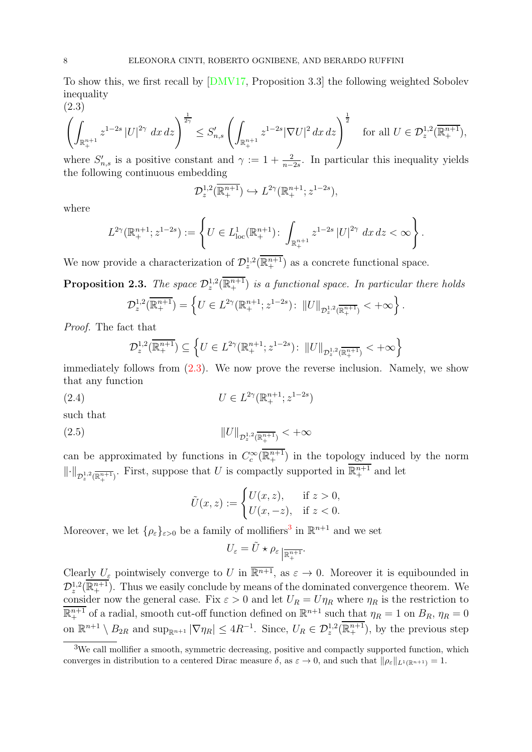To show this, we first recall by [\[DMV17,](#page-25-13) Proposition 3.3] the following weighted Sobolev inequality (2.3)

<span id="page-7-0"></span>
$$
\left(\int_{\mathbb{R}^{n+1}_+} z^{1-2s} |U|^{2\gamma} dx dz\right)^{\frac{1}{2\gamma}} \leq S'_{n,s} \left(\int_{\mathbb{R}^{n+1}_+} z^{1-2s} |\nabla U|^2 dx dz\right)^{\frac{1}{2}} \quad \text{for all } U \in \mathcal{D}_z^{1,2}(\overline{\mathbb{R}^{n+1}_+}),
$$

where  $S'_{n,s}$  is a positive constant and  $\gamma := 1 + \frac{2}{n-2s}$ . In particular this inequality yields the following continuous embedding

$$
\mathcal{D}_z^{1,2}(\overline{\mathbb{R}^{n+1}_+}) \hookrightarrow L^{2\gamma}(\mathbb{R}^{n+1}_+; z^{1-2s}),
$$

where

$$
L^{2\gamma}(\mathbb{R}^{n+1}_{+};z^{1-2s}):=\left\{U\in L^{1}_{\mathrm{loc}}(\mathbb{R}^{n+1}_{+})\colon \int_{\mathbb{R}^{n+1}_{+}}z^{1-2s}\left|U\right|^{2\gamma}dx\,dz<\infty\right\}.
$$

We now provide a characterization of  $\mathcal{D}_z^{1,2}(\overline{\mathbb{R}^{n+1}_+})$  as a concrete functional space.

<span id="page-7-4"></span>**Proposition 2.3.** The space  $\mathcal{D}_z^{1,2}(\overline{\mathbb{R}^{n+1}_+})$  is a functional space. In particular there holds

$$
\mathcal{D}_z^{1,2}(\overline{\mathbb{R}^{n+1}_+}) = \left\{ U \in L^{2\gamma}(\mathbb{R}^{n+1}_+; z^{1-2s}) \colon ||U||_{\mathcal{D}_z^{1,2}(\overline{\mathbb{R}^{n+1}_+})} < +\infty \right\}.
$$

Proof. The fact that

$$
\mathcal{D}_z^{1,2}(\overline{\mathbb{R}^{n+1}_+}) \subseteq \left\{ U \in L^{2\gamma}(\mathbb{R}^{n+1}_+; z^{1-2s}) \colon ||U||_{\mathcal{D}_z^{1,2}(\overline{\mathbb{R}^{n+1}_+})} < +\infty \right\}
$$

immediately follows from [\(2.3\)](#page-7-0). We now prove the reverse inclusion. Namely, we show that any function

<span id="page-7-3"></span>(2.4) 
$$
U \in L^{2\gamma}(\mathbb{R}^{n+1}_+; z^{1-2s})
$$

such that

<span id="page-7-2"></span>(2.5) 
$$
||U||_{\mathcal{D}_z^{1,2}(\overline{\mathbb{R}^{n+1}_+})} < +\infty
$$

can be approximated by functions in  $C_c^{\infty}(\overline{\mathbb{R}^{n+1}_+})$  in the topology induced by the norm  $\|\cdot\|_{\mathcal{D}^{1,2}_z(\overline{\mathbb{R}^{n+1}_+})}$ . First, suppose that U is compactly supported in  $\overline{\mathbb{R}^{n+1}_+}$  and let

$$
\tilde{U}(x, z) := \begin{cases} U(x, z), & \text{if } z > 0, \\ U(x, -z), & \text{if } z < 0. \end{cases}
$$

Moreover, we let  $\{\rho_{\varepsilon}\}_{{\varepsilon}>0}$  be a family of mollifiers<sup>[3](#page-7-1)</sup> in  $\mathbb{R}^{n+1}$  and we set

$$
U_{\varepsilon} = \tilde{U} \star \rho_{\varepsilon} \frac{1}{\mathbb{R}^{n+1}_+}
$$

Clearly  $U_{\varepsilon}$  pointwisely converge to U in  $\overline{\mathbb{R}^{n+1}}$ , as  $\varepsilon \to 0$ . Moreover it is equibounded in  $\mathcal{D}_z^{1,2}(\overline{\mathbb{R}^{n+1}_+})$ . Thus we easily conclude by means of the dominated convergence theorem. We consider now the general case. Fix  $\varepsilon > 0$  and let  $U_R = U \eta_R$  where  $\eta_R$  is the restriction to  $\overline{\mathbb{R}^{n+1}}$  of a radial, smooth cut-off function defined on  $\mathbb{R}^{n+1}$  such that  $\eta_R = 1$  on  $B_R$ ,  $\eta_R = 0$ on  $\mathbb{R}^{n+1} \setminus B_{2R}$  and  $\sup_{\mathbb{R}^{n+1}} |\nabla \eta_R| \leq 4R^{-1}$ . Since,  $U_R \in \mathcal{D}_z^{1,2}(\overline{\mathbb{R}^{n+1}_+})$ , by the previous step

<span id="page-7-1"></span><sup>&</sup>lt;sup>3</sup>We call mollifier a smooth, symmetric decreasing, positive and compactly supported function, which converges in distribution to a centered Dirac measure  $\delta$ , as  $\varepsilon \to 0$ , and such that  $\|\rho_{\varepsilon}\|_{L^1(\mathbb{R}^{n+1})} = 1$ .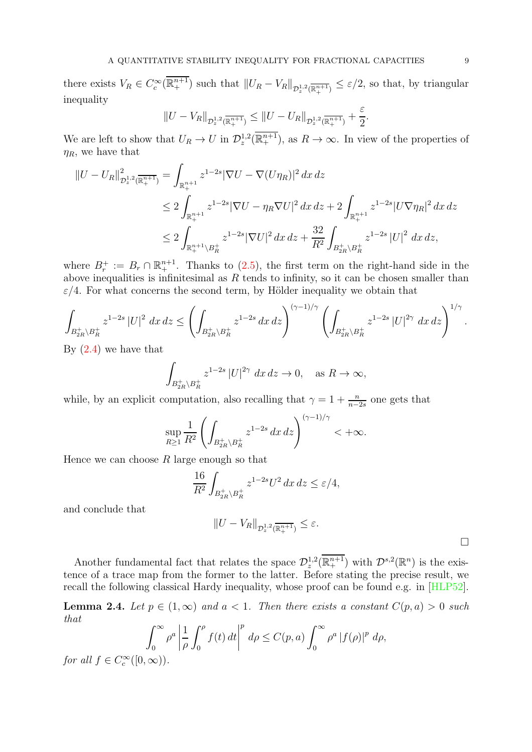there exists  $V_R \in C_c^{\infty}(\overline{\mathbb{R}^{n+1}_+})$  such that  $||U_R - V_R||_{\mathcal{D}_z^{1,2}(\overline{\mathbb{R}^{n+1}_+})} \leq \varepsilon/2$ , so that, by triangular inequality

$$
||U - V_R||_{\mathcal{D}_z^{1,2}(\overline{\mathbb{R}^{n+1}_+})} \leq ||U - U_R||_{\mathcal{D}_z^{1,2}(\overline{\mathbb{R}^{n+1}_+})} + \frac{\varepsilon}{2}.
$$

We are left to show that  $U_R \to U$  in  $\mathcal{D}_z^{1,2}(\overline{\mathbb{R}^{n+1}_+})$ , as  $R \to \infty$ . In view of the properties of  $\eta_R$ , we have that

$$
\begin{split} \left\| U - U_{R} \right\|_{\mathcal{D}_z^{1,2}(\overline{\mathbb{R}^{n+1}_+})}^2 &= \int_{\mathbb{R}^{n+1}_+} z^{1-2s} |\nabla U - \nabla (U \eta_R)|^2 \, dx \, dz \\ &\le 2 \int_{\mathbb{R}^{n+1}_+} z^{1-2s} |\nabla U - \eta_R \nabla U|^2 \, dx \, dz + 2 \int_{\mathbb{R}^{n+1}_+} z^{1-2s} |U \nabla \eta_R|^2 \, dx \, dz \\ &\le 2 \int_{\mathbb{R}^{n+1}_+ \backslash B_R^+} z^{1-2s} |\nabla U|^2 \, dx \, dz + \frac{32}{R^2} \int_{B_{2R}^+ \backslash B_R^+} z^{1-2s} |U|^2 \, dx \, dz, \end{split}
$$

where  $B_r^+ := B_r \cap \mathbb{R}^{n+1}_{+}$ . Thanks to [\(2.5\)](#page-7-2), the first term on the right-hand side in the above inequalities is infinitesimal as  $R$  tends to infinity, so it can be chosen smaller than  $\varepsilon/4$ . For what concerns the second term, by Hölder inequality we obtain that

$$
\int_{B_{2R}^+\setminus B_R^+} z^{1-2s} \left| U \right|^2 \, dx \, dz \le \left( \int_{B_{2R}^+\setminus B_R^+} z^{1-2s} \, dx \, dz \right)^{(\gamma-1)/\gamma} \left( \int_{B_{2R}^+\setminus B_R^+} z^{1-2s} \left| U \right|^{2\gamma} \, dx \, dz \right)^{1/\gamma}.
$$

By [\(2.4\)](#page-7-3) we have that

$$
\int_{B_{2R}^+\backslash B_R^+} z^{1-2s} \left| U \right|^{2\gamma} dx \, dz \to 0, \quad \text{as } R \to \infty,
$$

while, by an explicit computation, also recalling that  $\gamma = 1 + \frac{n}{n-2s}$  one gets that

$$
\sup_{R\geq 1}\frac{1}{R^2}\left(\int_{B_{2R}^+\setminus B_R^+}z^{1-2s}\,dx\,dz\right)^{(\gamma-1)/\gamma}<+\infty.
$$

Hence we can choose  $R$  large enough so that

$$
\frac{16}{R^2} \int_{B_{2R}^+\backslash B_R^+} z^{1-2s} U^2 dx dz \le \varepsilon/4,
$$

and conclude that

$$
||U - V_R||_{\mathcal{D}_z^{1,2}(\overline{\mathbb{R}^{n+1}_+})} \leq \varepsilon.
$$

 $\Box$ 

Another fundamental fact that relates the space  $\mathcal{D}_z^{1,2}(\overline{\mathbb{R}^{n+1}_+})$  with  $\mathcal{D}^{s,2}(\mathbb{R}^n)$  is the existence of a trace map from the former to the latter. Before stating the precise result, we recall the following classical Hardy inequality, whose proof can be found e.g. in [\[HLP52\]](#page-25-14).

<span id="page-8-0"></span>**Lemma 2.4.** Let  $p \in (1,\infty)$  and  $a < 1$ . Then there exists a constant  $C(p, a) > 0$  such that

$$
\int_0^\infty \rho^a \left| \frac{1}{\rho} \int_0^\rho f(t) dt \right|^p d\rho \le C(p, a) \int_0^\infty \rho^a |f(\rho)|^p d\rho,
$$

for all  $f \in C_c^{\infty}([0, \infty))$ .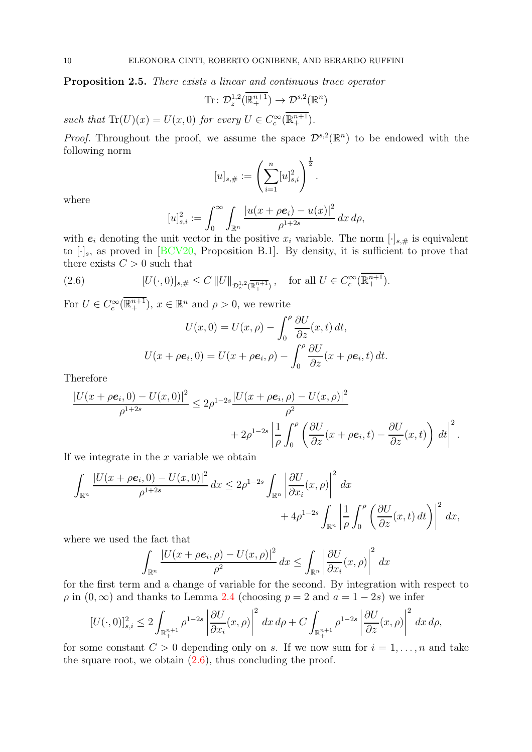<span id="page-9-1"></span>Proposition 2.5. There exists a linear and continuous trace operator

$$
\mathrm{Tr} \colon \mathcal{D}_z^{1,2}(\overline{\mathbb{R}^{n+1}_+}) \to \mathcal{D}^{s,2}(\mathbb{R}^n)
$$

such that  $\text{Tr}(U)(x) = U(x,0)$  for every  $U \in C_c^{\infty}(\overline{\mathbb{R}^{n+1}_+}).$ 

*Proof.* Throughout the proof, we assume the space  $\mathcal{D}^{s,2}(\mathbb{R}^n)$  to be endowed with the following norm

$$
[u]_{s,\#} := \left(\sum_{i=1}^n [u]_{s,i}^2\right)^{\frac{1}{2}}.
$$

where

$$
[u]_{s,i}^2 := \int_0^\infty \int_{\mathbb{R}^n} \frac{|u(x + \rho \mathbf{e}_i) - u(x)|^2}{\rho^{1+2s}} dx d\rho,
$$

with  $e_i$  denoting the unit vector in the positive  $x_i$  variable. The norm  $[\cdot]_{s,\#}$  is equivalent to  $[\cdot]_s$ , as proved in  $[BCV20,$  Proposition B.1. By density, it is sufficient to prove that there exists  $C > 0$  such that

<span id="page-9-0"></span>(2.6) 
$$
[U(\cdot,0)]_{s,\#} \leq C ||U||_{\mathcal{D}^{1,2}_z(\overline{\mathbb{R}^{n+1}_+})}, \text{ for all } U \in C_c^{\infty}(\overline{\mathbb{R}^{n+1}_+}).
$$

For  $U \in C_c^{\infty}(\overline{\mathbb{R}^{n+1}_+})$ ,  $x \in \mathbb{R}^n$  and  $\rho > 0$ , we rewrite

$$
U(x,0) = U(x,\rho) - \int_0^{\rho} \frac{\partial U}{\partial z}(x,t) dt,
$$

$$
U(x + \rho e_i, 0) = U(x + \rho e_i, \rho) - \int_0^{\rho} \frac{\partial U}{\partial z}(x + \rho e_i, t) dt.
$$

Therefore

$$
\frac{|U(x+\rho e_i,0)-U(x,0)|^2}{\rho^{1+2s}} \leq 2\rho^{1-2s} \frac{|U(x+\rho e_i,\rho)-U(x,\rho)|^2}{\rho^2} + 2\rho^{1-2s} \left| \frac{1}{\rho} \int_0^{\rho} \left( \frac{\partial U}{\partial z}(x+\rho e_i,t) - \frac{\partial U}{\partial z}(x,t) \right) dt \right|^2.
$$

If we integrate in the  $x$  variable we obtain

$$
\int_{\mathbb{R}^n} \frac{|U(x + \rho \mathbf{e}_i, 0) - U(x, 0)|^2}{\rho^{1+2s}} dx \le 2\rho^{1-2s} \int_{\mathbb{R}^n} \left| \frac{\partial U}{\partial x_i}(x, \rho) \right|^2 dx + 4\rho^{1-2s} \int_{\mathbb{R}^n} \left| \frac{1}{\rho} \int_0^{\rho} \left( \frac{\partial U}{\partial z}(x, t) dt \right) \right|^2 dx,
$$

where we used the fact that

$$
\int_{\mathbb{R}^n} \frac{|U(x + \rho \mathbf{e}_i, \rho) - U(x, \rho)|^2}{\rho^2} dx \le \int_{\mathbb{R}^n} \left| \frac{\partial U}{\partial x_i}(x, \rho) \right|^2 dx
$$

for the first term and a change of variable for the second. By integration with respect to  $\rho$  in  $(0, \infty)$  and thanks to Lemma [2.4](#page-8-0) (choosing  $p = 2$  and  $a = 1 - 2s$ ) we infer

$$
[U(\cdot,0)]_{s,i}^2 \le 2\int_{\mathbb{R}^{n+1}_+} \rho^{1-2s} \left| \frac{\partial U}{\partial x_i}(x,\rho) \right|^2 dx d\rho + C \int_{\mathbb{R}^{n+1}_+} \rho^{1-2s} \left| \frac{\partial U}{\partial z}(x,\rho) \right|^2 dx d\rho,
$$

for some constant  $C > 0$  depending only on s. If we now sum for  $i = 1, \ldots, n$  and take the square root, we obtain  $(2.6)$ , thus concluding the proof.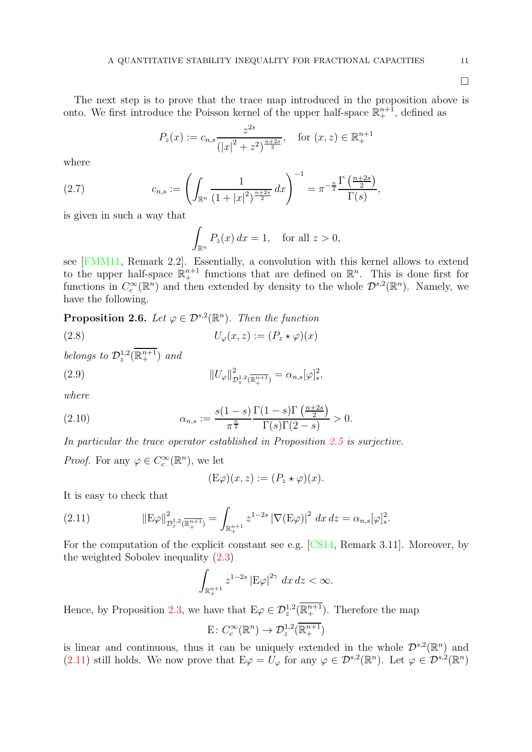$\Box$ 

The next step is to prove that the trace map introduced in the proposition above is onto. We first introduce the Poisson kernel of the upper half-space  $\mathbb{R}^{n+1}_+$ , defined as

$$
P_z(x) := c_{n,s} \frac{z^{2s}}{(|x|^2 + z^2)^{\frac{n+2s}{2}}}, \quad \text{for } (x, z) \in \mathbb{R}_+^{n+1}
$$

where

<span id="page-10-5"></span>(2.7) 
$$
c_{n,s} := \left( \int_{\mathbb{R}^n} \frac{1}{(1+|x|^2)^{\frac{n+2s}{2}}} dx \right)^{-1} = \pi^{-\frac{n}{2}} \frac{\Gamma(\frac{n+2s}{2})}{\Gamma(s)},
$$

is given in such a way that

$$
\int_{\mathbb{R}^n} P_z(x) dx = 1, \text{ for all } z > 0,
$$

see [\[FMM11,](#page-25-15) Remark 2.2]. Essentially, a convolution with this kernel allows to extend to the upper half-space  $\mathbb{R}^{n+1}$  functions that are defined on  $\mathbb{R}^n$ . This is done first for functions in  $C_c^{\infty}(\mathbb{R}^n)$  and then extended by density to the whole  $\mathcal{D}^{s,2}(\mathbb{R}^n)$ . Namely, we have the following.

<span id="page-10-4"></span>**Proposition 2.6.** Let  $\varphi \in \mathcal{D}^{s,2}(\mathbb{R}^n)$ . Then the function

<span id="page-10-1"></span>(2.8) 
$$
U_{\varphi}(x, z) := (P_z \star \varphi)(x)
$$

belongs to  $\mathcal{D}_z^{1,2}(\overline{\mathbb{R}^{n+1}_+})$  and

<span id="page-10-3"></span>(2.9) 
$$
||U_{\varphi}||_{\mathcal{D}_z^{1,2}(\overline{\mathbb{R}_+^{n+1}})}^2 = \alpha_{n,s}[\varphi]_s^2,
$$

where

<span id="page-10-2"></span>(2.10) 
$$
\alpha_{n,s} := \frac{s(1-s)}{\pi^{\frac{n}{2}}} \frac{\Gamma(1-s)\Gamma\left(\frac{n+2s}{2}\right)}{\Gamma(s)\Gamma(2-s)} > 0.
$$

In particular the trace operator established in Proposition [2.5](#page-9-1) is surjective.

*Proof.* For any  $\varphi \in C_c^{\infty}(\mathbb{R}^n)$ , we let

$$
(\mathcal{E}\varphi)(x,z) := (P_z \star \varphi)(x).
$$

It is easy to check that

<span id="page-10-0"></span>(2.11) 
$$
\|\mathbf{E}\varphi\|_{\mathcal{D}_z^{1,2}(\overline{\mathbb{R}^{n+1}_+})}^2 = \int_{\mathbb{R}^{n+1}_+} z^{1-2s} |\nabla(\mathbf{E}\varphi)|^2 dx dz = \alpha_{n,s}[\varphi]_s^2.
$$

For the computation of the explicit constant see e.g. [\[CS14,](#page-24-9) Remark 3.11]. Moreover, by the weighted Sobolev inequality [\(2.3\)](#page-7-0)

$$
\int_{\mathbb{R}^{n+1}_+} z^{1-2s} \left| E\varphi \right|^{2\gamma} dx \, dz < \infty.
$$

Hence, by Proposition [2.3,](#page-7-4) we have that  $E\varphi \in \mathcal{D}_z^{1,2}(\overline{\mathbb{R}^{n+1}_+})$ . Therefore the map

$$
E: C_c^{\infty}(\mathbb{R}^n) \to \mathcal{D}_z^{1,2}(\overline{\mathbb{R}_+^{n+1}})
$$

is linear and continuous, thus it can be uniquely extended in the whole  $\mathcal{D}^{s,2}(\mathbb{R}^n)$  and [\(2.11\)](#page-10-0) still holds. We now prove that  $E\varphi = U_{\varphi}$  for any  $\varphi \in \mathcal{D}^{s,2}(\mathbb{R}^n)$ . Let  $\varphi \in \mathcal{D}^{s,2}(\mathbb{R}^n)$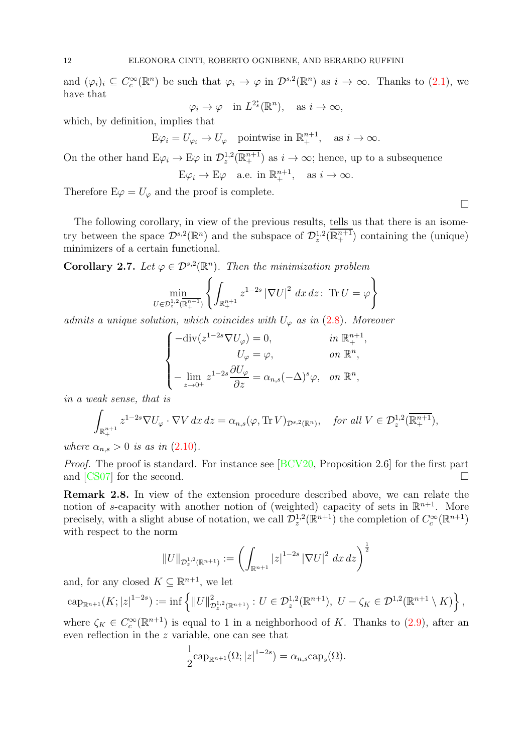and  $(\varphi_i)_i \subseteq C_c^{\infty}(\mathbb{R}^n)$  be such that  $\varphi_i \to \varphi$  in  $\mathcal{D}^{s,2}(\mathbb{R}^n)$  as  $i \to \infty$ . Thanks to  $(2.1)$ , we have that ∗

$$
\varphi_i \to \varphi
$$
 in  $L^{2^*_s}(\mathbb{R}^n)$ , as  $i \to \infty$ ,

which, by definition, implies that

$$
\mathcal{E} \varphi_i = U_{\varphi_i} \to U_{\varphi} \quad \text{pointwise in } \mathbb{R}^{n+1}_+, \quad \text{as } i \to \infty.
$$

On the other hand  $E\varphi_i \to E\varphi$  in  $\mathcal{D}_z^{1,2}(\overline{\mathbb{R}^{n+1}_+})$  as  $i \to \infty$ ; hence, up to a subsequence  $E\varphi_i \to E\varphi$  a.e. in  $\mathbb{R}^{n+1}_+$ , as  $i \to \infty$ .

Therefore  $E\varphi = U_{\varphi}$  and the proof is complete.

The following corollary, in view of the previous results, tells us that there is an isometry between the space  $\mathcal{D}^{s,2}(\mathbb{R}^n)$  and the subspace of  $\mathcal{D}_z^{1,2}(\overline{\mathbb{R}^{n+1}_+})$  containing the (unique) minimizers of a certain functional.

<span id="page-11-0"></span>**Corollary 2.7.** Let  $\varphi \in \mathcal{D}^{s,2}(\mathbb{R}^n)$ . Then the minimization problem

$$
\min_{U \in \mathcal{D}_z^{1,2}(\mathbb{R}_+^{n+1})} \left\{ \int_{\mathbb{R}_+^{n+1}} z^{1-2s} \left| \nabla U \right|^2 dx \, dz \colon \, \text{Tr} \, U = \varphi \right\}
$$

admits a unique solution, which coincides with  $U_{\varphi}$  as in [\(2.8\)](#page-10-1). Moreover

$$
\begin{cases}\n-\text{div}(z^{1-2s}\nabla U_{\varphi}) = 0, & \text{in } \mathbb{R}^{n+1}_+, \\
U_{\varphi} = \varphi, & \text{on } \mathbb{R}^n, \\
-\lim_{z \to 0^+} z^{1-2s} \frac{\partial U_{\varphi}}{\partial z} = \alpha_{n,s} (-\Delta)^s \varphi, & \text{on } \mathbb{R}^n,\n\end{cases}
$$

in a weak sense, that is

$$
\int_{\mathbb{R}^{n+1}_+} z^{1-2s} \nabla U_\varphi \cdot \nabla V \, dx \, dz = \alpha_{n,s}(\varphi, \text{Tr } V)_{\mathcal{D}^{s,2}(\mathbb{R}^n)}, \quad \text{for all } V \in \mathcal{D}_z^{1,2}(\overline{\mathbb{R}^{n+1}_+}),
$$

where  $\alpha_{n,s} > 0$  is as in  $(2.10)$ .

Proof. The proof is standard. For instance see [\[BCV20,](#page-24-4) Proposition 2.6] for the first part and  $\left[\frac{\text{CS07}}{\text{C}}\right]$  for the second.

<span id="page-11-1"></span>Remark 2.8. In view of the extension procedure described above, we can relate the notion of s-capacity with another notion of (weighted) capacity of sets in  $\mathbb{R}^{n+1}$ . More precisely, with a slight abuse of notation, we call  $\mathcal{D}_z^{1,2}(\mathbb{R}^{n+1})$  the completion of  $C_c^{\infty}(\mathbb{R}^{n+1})$ with respect to the norm

$$
||U||_{\mathcal{D}_z^{1,2}(\mathbb{R}^{n+1})} := \left(\int_{\mathbb{R}^{n+1}} |z|^{1-2s} |\nabla U|^2 dx dz\right)^{\frac{1}{2}}
$$

and, for any closed  $K \subseteq \mathbb{R}^{n+1}$ , we let

$$
\mathrm{cap}_{\mathbb{R}^{n+1}}(K;|z|^{1-2s}):=\inf\left\{\|U\|_{\mathcal{D}_z^{1,2}(\mathbb{R}^{n+1})}^2:U\in\mathcal{D}_z^{1,2}(\mathbb{R}^{n+1}),\ U-\zeta_K\in\mathcal{D}^{1,2}(\mathbb{R}^{n+1}\setminus K)\right\},\
$$

where  $\zeta_K \in C_c^{\infty}(\mathbb{R}^{n+1})$  is equal to 1 in a neighborhood of K. Thanks to [\(2.9\)](#page-10-3), after an even reflection in the z variable, one can see that

$$
\frac{1}{2} \mathrm{cap}_{\mathbb{R}^{n+1}}(\Omega; |z|^{1-2s}) = \alpha_{n,s} \mathrm{cap}_s(\Omega).
$$

 $\Box$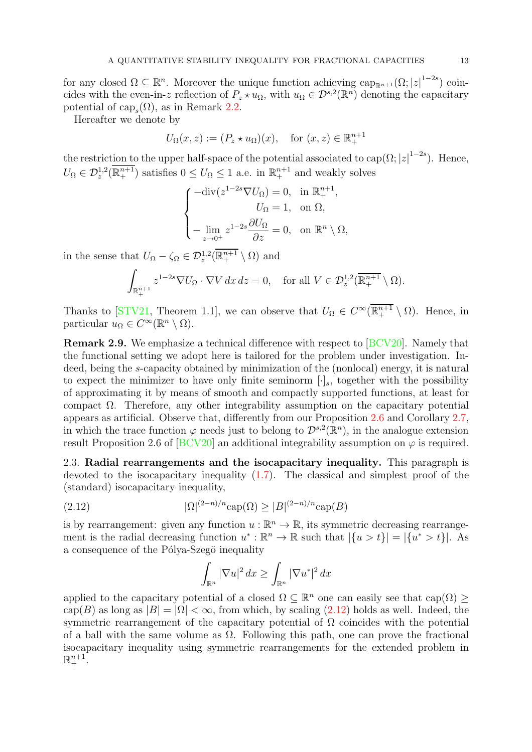for any closed  $\Omega \subseteq \mathbb{R}^n$ . Moreover the unique function achieving  $\text{cap}_{\mathbb{R}^{n+1}}(\Omega; |z|^{1-2s})$  coincides with the even-in-z reflection of  $P_z \star u_\Omega$ , with  $u_\Omega \in \mathcal{D}^{s,2}(\mathbb{R}^n)$  denoting the capacitary potential of  $cap_s(\Omega)$ , as in Remark [2.2.](#page-5-1)

Hereafter we denote by

$$
U_{\Omega}(x, z) := (P_z \star u_{\Omega})(x), \quad \text{for } (x, z) \in \mathbb{R}^{n+1}_+
$$

the restriction to the upper half-space of the potential associated to cap( $\Omega$ ;  $|z|^{1-2s}$ ). Hence,  $U_{\Omega} \in \mathcal{D}_z^{1,2}(\overline{\mathbb{R}^{n+1}_+})$  satisfies  $0 \leq U_{\Omega} \leq 1$  a.e. in  $\mathbb{R}^{n+1}_+$  and weakly solves

$$
\begin{cases}\n-\text{div}(z^{1-2s}\nabla U_{\Omega}) = 0, & \text{in } \mathbb{R}^{n+1}_+, \\
U_{\Omega} = 1, & \text{on } \Omega, \\
-\lim_{z \to 0^+} z^{1-2s} \frac{\partial U_{\Omega}}{\partial z} = 0, & \text{on } \mathbb{R}^n \setminus \Omega,\n\end{cases}
$$

in the sense that  $U_{\Omega} - \zeta_{\Omega} \in \mathcal{D}_z^{1,2}(\overline{\mathbb{R}^{n+1}_+} \setminus \Omega)$  and

$$
\int_{\mathbb{R}^{n+1}_+} z^{1-2s} \nabla U_{\Omega} \cdot \nabla V \, dx \, dz = 0, \quad \text{for all } V \in \mathcal{D}_z^{1,2}(\overline{\mathbb{R}^{n+1}_+} \setminus \Omega).
$$

Thanks to [\[STV21,](#page-25-16) Theorem 1.1], we can observe that  $U_{\Omega} \in C^{\infty}(\overline{\mathbb{R}^{n+1}_{+}} \setminus \Omega)$ . Hence, in particular  $u_{\Omega} \in C^{\infty}(\mathbb{R}^n \setminus \Omega)$ .

Remark 2.9. We emphasize a technical difference with respect to [\[BCV20\]](#page-24-4). Namely that the functional setting we adopt here is tailored for the problem under investigation. Indeed, being the s-capacity obtained by minimization of the (nonlocal) energy, it is natural to expect the minimizer to have only finite seminorm  $[\cdot]_s$ , together with the possibility of approximating it by means of smooth and compactly supported functions, at least for compact Ω. Therefore, any other integrability assumption on the capacitary potential appears as artificial. Observe that, differently from our Proposition [2.6](#page-10-4) and Corollary [2.7,](#page-11-0) in which the trace function  $\varphi$  needs just to belong to  $\mathcal{D}^{s,2}(\mathbb{R}^n)$ , in the analogue extension result Proposition 2.6 of  $[BCV20]$  an additional integrability assumption on  $\varphi$  is required.

<span id="page-12-0"></span>2.3. Radial rearrangements and the isocapacitary inequality. This paragraph is devoted to the isocapacitary inequality [\(1.7\)](#page-2-1). The classical and simplest proof of the (standard) isocapacitary inequality,

<span id="page-12-1"></span>(2.12) 
$$
|\Omega|^{(2-n)/n} \cosh(\Omega) \ge |B|^{(2-n)/n} \cosh(B)
$$

is by rearrangement: given any function  $u : \mathbb{R}^n \to \mathbb{R}$ , its symmetric decreasing rearrangement is the radial decreasing function  $u^*: \mathbb{R}^n \to \mathbb{R}$  such that  $|\{u > t\}| = |\{u^* > t\}|$ . As a consequence of the Pólya-Szegö inequality

$$
\int_{\mathbb{R}^n} |\nabla u|^2 \, dx \ge \int_{\mathbb{R}^n} |\nabla u^*|^2 \, dx
$$

applied to the capacitary potential of a closed  $\Omega \subseteq \mathbb{R}^n$  one can easily see that  $\text{cap}(\Omega) \ge$ cap(B) as long as  $|B| = |\Omega| < \infty$ , from which, by scaling [\(2.12\)](#page-12-1) holds as well. Indeed, the symmetric rearrangement of the capacitary potential of  $\Omega$  coincides with the potential of a ball with the same volume as  $\Omega$ . Following this path, one can prove the fractional isocapacitary inequality using symmetric rearrangements for the extended problem in  $\mathbb{R}^{n+1}_+$ .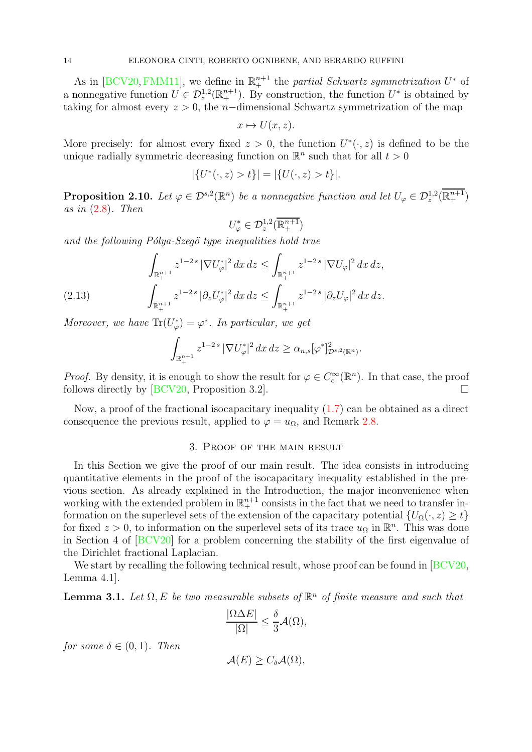As in [\[BCV20,](#page-24-4) [FMM11\]](#page-25-15), we define in  $\mathbb{R}^{n+1}$  the partial Schwartz symmetrization  $U^*$  of a nonnegative function  $U \in \mathcal{D}_z^{1,2}(\mathbb{R}^{n+1}_+)$ . By construction, the function  $U^*$  is obtained by taking for almost every  $z > 0$ , the n-dimensional Schwartz symmetrization of the map

$$
x \mapsto U(x, z).
$$

More precisely: for almost every fixed  $z > 0$ , the function  $U^*(\cdot, z)$  is defined to be the unique radially symmetric decreasing function on  $\mathbb{R}^n$  such that for all  $t > 0$ 

$$
|\{U^*(\cdot,z) > t\}| = |\{U(\cdot,z) > t\}|.
$$

<span id="page-13-1"></span>**Proposition 2.10.** Let  $\varphi \in \mathcal{D}^{s,2}(\mathbb{R}^n)$  be a nonnegative function and let  $U_{\varphi} \in \mathcal{D}_z^{1,2}(\overline{\mathbb{R}^{n+1}_+})$ as in  $(2.8)$ . Then

$$
U^*_\varphi\in\mathcal{D}_z^{1,2}(\overline{\mathbb{R}^{n+1}_+})
$$

and the following Pólya-Szegö type inequalities hold true

$$
\int_{\mathbb{R}^{n+1}_+} z^{1-2s} \, |\nabla U^*_{\varphi}|^2 \, dx \, dz \le \int_{\mathbb{R}^{n+1}_+} z^{1-2s} \, |\nabla U_{\varphi}|^2 \, dx \, dz,
$$
\n
$$
\int_{\mathbb{R}^{n+1}_+} z^{1-2s} \, |\partial_z U^*_{\varphi}|^2 \, dx \, dz \le \int_{\mathbb{R}^{n+1}_+} z^{1-2s} \, |\partial_z U_{\varphi}|^2 \, dx \, dz.
$$

<span id="page-13-3"></span>Moreover, we have  $\text{Tr}(U^*_\varphi) = \varphi^*$ . In particular, we get

$$
\int_{\mathbb{R}^{n+1}_+} z^{1-2s} \, |\nabla U^*_\varphi|^2 \, dx \, dz \ge \alpha_{n,s} [\varphi^*]_{\mathcal{D}^{s,2}(\mathbb{R}^n)}^2.
$$

*Proof.* By density, it is enough to show the result for  $\varphi \in C_c^{\infty}(\mathbb{R}^n)$ . In that case, the proof follows directly by  $[BCV20,$  Proposition 3.2].

<span id="page-13-0"></span>Now, a proof of the fractional isocapacitary inequality [\(1.7\)](#page-2-1) can be obtained as a direct consequence the previous result, applied to  $\varphi = u_{\Omega}$ , and Remark [2.8.](#page-11-1)

# 3. Proof of the main result

In this Section we give the proof of our main result. The idea consists in introducing quantitative elements in the proof of the isocapacitary inequality established in the previous section. As already explained in the Introduction, the major inconvenience when working with the extended problem in  $\mathbb{R}^{n+1}_+$  consists in the fact that we need to transfer information on the superlevel sets of the extension of the capacitary potential  $\{U_{\Omega}(\cdot, z) \geq t\}$ for fixed  $z > 0$ , to information on the superlevel sets of its trace  $u_{\Omega}$  in  $\mathbb{R}^n$ . This was done in Section 4 of [\[BCV20\]](#page-24-4) for a problem concerning the stability of the first eigenvalue of the Dirichlet fractional Laplacian.

We start by recalling the following technical result, whose proof can be found in [\[BCV20,](#page-24-4)] Lemma 4.1].

<span id="page-13-2"></span>**Lemma 3.1.** Let  $\Omega$ , E be two measurable subsets of  $\mathbb{R}^n$  of finite measure and such that

$$
\frac{|\Omega \Delta E|}{|\Omega|} \le \frac{\delta}{3} \mathcal{A}(\Omega),
$$

for some  $\delta \in (0,1)$ . Then

$$
\mathcal{A}(E) \geq C_{\delta} \mathcal{A}(\Omega),
$$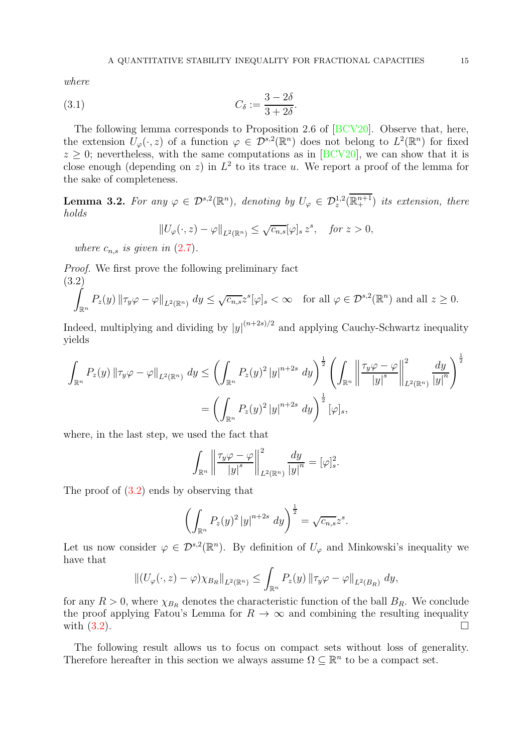where

<span id="page-14-1"></span>
$$
(3.1) \tC_{\delta} := \frac{3 - 2\delta}{3 + 2\delta}.
$$

The following lemma corresponds to Proposition 2.6 of [\[BCV20\]](#page-24-4). Observe that, here, the extension  $U_{\varphi}(\cdot, z)$  of a function  $\varphi \in \mathcal{D}^{s,2}(\mathbb{R}^n)$  does not belong to  $L^2(\mathbb{R}^n)$  for fixed  $z \geq 0$ ; nevertheless, with the same computations as in [\[BCV20\]](#page-24-4), we can show that it is close enough (depending on z) in  $L^2$  to its trace u. We report a proof of the lemma for the sake of completeness.

<span id="page-14-2"></span>**Lemma 3.2.** For any  $\varphi \in \mathcal{D}^{s,2}(\mathbb{R}^n)$ , denoting by  $U_{\varphi} \in \mathcal{D}_z^{1,2}(\overline{\mathbb{R}^{n+1}_+})$  its extension, there holds

$$
||U_{\varphi}(\cdot,z)-\varphi||_{L^{2}(\mathbb{R}^{n})} \leq \sqrt{c_{n,s}}[\varphi]_{s} z^{s}, \quad \text{for } z > 0,
$$

where  $c_{n,s}$  is given in  $(2.7)$ .

<span id="page-14-0"></span>Proof. We first prove the following preliminary fact (3.2)

$$
\int_{\mathbb{R}^n} P_z(y) \|\tau_y \varphi - \varphi\|_{L^2(\mathbb{R}^n)} dy \leq \sqrt{c_{n,s}} z^s [\varphi]_s < \infty \quad \text{for all } \varphi \in \mathcal{D}^{s,2}(\mathbb{R}^n) \text{ and all } z \geq 0.
$$

Indeed, multiplying and dividing by  $|y|^{(n+2s)/2}$  and applying Cauchy-Schwartz inequality yields

$$
\int_{\mathbb{R}^n} P_z(y) \| \tau_y \varphi - \varphi \|_{L^2(\mathbb{R}^n)} dy \le \left( \int_{\mathbb{R}^n} P_z(y)^2 |y|^{n+2s} dy \right)^{\frac{1}{2}} \left( \int_{\mathbb{R}^n} \left\| \frac{\tau_y \varphi - \varphi}{|y|^s} \right\|_{L^2(\mathbb{R}^n)}^2 \frac{dy}{|y|^n} \right)^{\frac{1}{2}}
$$

$$
= \left( \int_{\mathbb{R}^n} P_z(y)^2 |y|^{n+2s} dy \right)^{\frac{1}{2}} [\varphi]_s,
$$

where, in the last step, we used the fact that

$$
\int_{\mathbb{R}^n} \left\| \frac{\tau_y \varphi - \varphi}{|y|^s} \right\|_{L^2(\mathbb{R}^n)}^2 \frac{dy}{|y|^n} = [\varphi]_s^2.
$$

The proof of [\(3.2\)](#page-14-0) ends by observing that

$$
\left(\int_{\mathbb{R}^n} P_z(y)^2 |y|^{n+2s} dy\right)^{\frac{1}{2}} = \sqrt{c_{n,s}} z^s.
$$

Let us now consider  $\varphi \in \mathcal{D}^{s,2}(\mathbb{R}^n)$ . By definition of  $U_{\varphi}$  and Minkowski's inequality we have that

$$
\left\| (U_{\varphi}(\cdot, z) - \varphi) \chi_{B_R} \right\|_{L^2(\mathbb{R}^n)} \le \int_{\mathbb{R}^n} P_z(y) \left\| \tau_y \varphi - \varphi \right\|_{L^2(B_R)} dy,
$$

for any  $R > 0$ , where  $\chi_{B_R}$  denotes the characteristic function of the ball  $B_R$ . We conclude the proof applying Fatou's Lemma for  $R \to \infty$  and combining the resulting inequality with  $(3.2)$ . with [\(3.2\)](#page-14-0).

The following result allows us to focus on compact sets without loss of generality. Therefore hereafter in this section we always assume  $\Omega \subseteq \mathbb{R}^n$  to be a compact set.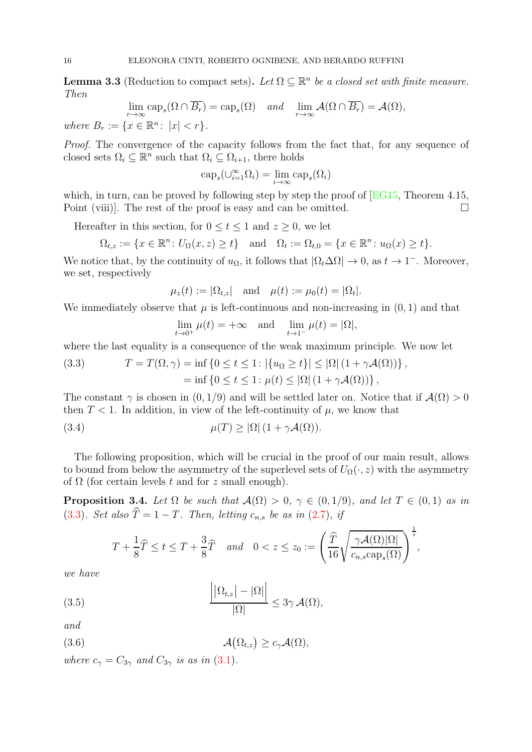<span id="page-15-0"></span>**Lemma 3.3** (Reduction to compact sets). Let  $\Omega \subseteq \mathbb{R}^n$  be a closed set with finite measure. Then

$$
\lim_{r \to \infty} \text{cap}_s(\Omega \cap \overline{B_r}) = \text{cap}_s(\Omega) \quad \text{and} \quad \lim_{r \to \infty} \mathcal{A}(\Omega \cap \overline{B_r}) = \mathcal{A}(\Omega),
$$

where  $B_r := \{ x \in \mathbb{R}^n : |x| < r \}.$ 

Proof. The convergence of the capacity follows from the fact that, for any sequence of closed sets  $\Omega_i \subseteq \mathbb{R}^n$  such that  $\Omega_i \subseteq \Omega_{i+1}$ , there holds

$$
\mathrm{cap}_s(\cup_{i=1}^{\infty}\Omega_i)=\lim_{i\to\infty}\mathrm{cap}_s(\Omega_i)
$$

which, in turn, can be proved by following step by step the proof of  $\text{[EG15]}$ , Theorem 4.15, Point (viii). The rest of the proof is easy and can be omitted.  $\Box$ 

Hereafter in this section, for  $0 \le t \le 1$  and  $z \ge 0$ , we let

$$
\Omega_{t,z} := \{ x \in \mathbb{R}^n \colon U_{\Omega}(x,z) \ge t \} \quad \text{and} \quad \Omega_t := \Omega_{t,0} = \{ x \in \mathbb{R}^n \colon u_{\Omega}(x) \ge t \}.
$$

We notice that, by the continuity of  $u_{\Omega}$ , it follows that  $|\Omega_t \Delta \Omega| \to 0$ , as  $t \to 1^-$ . Moreover, we set, respectively

$$
\mu_z(t) := |\Omega_{t,z}|
$$
 and  $\mu(t) := \mu_0(t) = |\Omega_t|$ .

We immediately observe that  $\mu$  is left-continuous and non-increasing in  $(0, 1)$  and that

$$
\lim_{t \to 0^+} \mu(t) = +\infty \quad \text{and} \quad \lim_{t \to 1^-} \mu(t) = |\Omega|,
$$

where the last equality is a consequence of the weak maximum principle. We now let

<span id="page-15-1"></span>(3.3) 
$$
T = T(\Omega, \gamma) = \inf \{ 0 \le t \le 1 : |\{u_{\Omega} \ge t\}| \le |\Omega| (1 + \gamma \mathcal{A}(\Omega)) \},
$$

$$
= \inf \{ 0 \le t \le 1 : \mu(t) \le |\Omega| (1 + \gamma \mathcal{A}(\Omega)) \},
$$

The constant  $\gamma$  is chosen in (0, 1/9) and will be settled later on. Notice that if  $\mathcal{A}(\Omega) > 0$ then  $T < 1$ . In addition, in view of the left-continuity of  $\mu$ , we know that

<span id="page-15-5"></span>(3.4) 
$$
\mu(T) \geq |\Omega| (1 + \gamma \mathcal{A}(\Omega)).
$$

The following proposition, which will be crucial in the proof of our main result, allows to bound from below the asymmetry of the superlevel sets of  $U_{\Omega}(\cdot, z)$  with the asymmetry of  $\Omega$  (for certain levels t and for z small enough).

<span id="page-15-4"></span>**Proposition 3.4.** Let  $\Omega$  be such that  $\mathcal{A}(\Omega) > 0$ ,  $\gamma \in (0,1/9)$ , and let  $T \in (0,1)$  as in [\(3.3\)](#page-15-1). Set also  $\hat{T} = 1 - T$ . Then, letting  $c_{n,s}$  be as in [\(2.7\)](#page-10-5), if

$$
T + \frac{1}{8}\widehat{T} \le t \le T + \frac{3}{8}\widehat{T} \quad and \quad 0 < z \le z_0 := \left(\frac{\widehat{T}}{16}\sqrt{\frac{\gamma\mathcal{A}(\Omega)|\Omega|}{c_{n,s} \text{cap}_s(\Omega)}}\right)^{\frac{1}{s}},
$$

we have

<span id="page-15-2"></span>(3.5) 
$$
\frac{\left| |\Omega_{t,z}|-|\Omega| \right|}{|\Omega|} \leq 3\gamma \mathcal{A}(\Omega),
$$

and

<span id="page-15-3"></span>(3.6) 
$$
\mathcal{A}(\Omega_{t,z}) \geq c_{\gamma} \mathcal{A}(\Omega),
$$

where  $c_{\gamma} = C_{3\gamma}$  and  $C_{3\gamma}$  is as in [\(3.1\)](#page-14-1).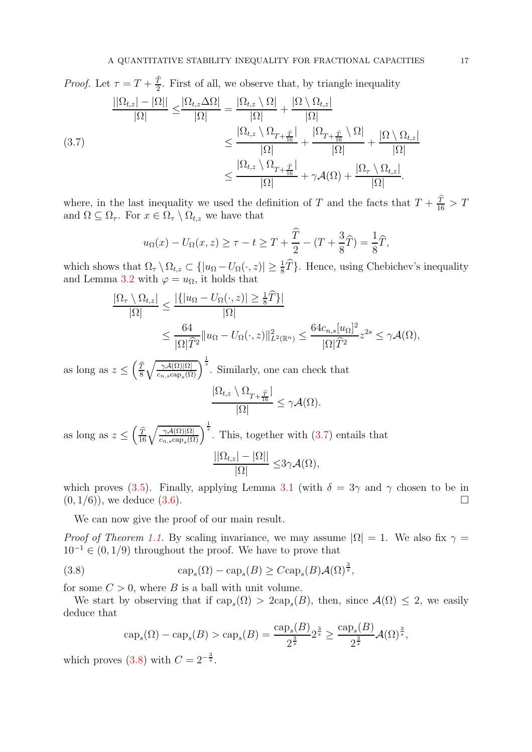*Proof.* Let  $\tau = T + \frac{\hat{T}}{2}$  $\frac{T}{2}$ . First of all, we observe that, by triangle inequality (3.7)  $||\Omega_{t,z}|-|\Omega||$  $\sqrt{|\Omega|} \ge$  $|\Omega_{t,z}\Delta\Omega|$ |Ω|  $=\frac{\left|\Omega_{t,z}\setminus\Omega\right|}{\left|\Omega\right|}$ |Ω|  $+\frac{\left|\Omega\setminus\Omega_{t,z}\right|}{\left|\Omega\right|}$ |Ω| ≤  $|\Omega_{t,z}\setminus \Omega_{T+\frac{\widehat T}{16}}|$ |Ω|  $+$  $|\Omega_{T+\frac{\widehat{T}}{16}}\setminus\Omega|$ |Ω|  $+\frac{\left|\Omega\setminus\Omega_{t,z}\right|}{\left|\Omega\right|}$ |Ω| ≤  $|\Omega_{t,z}\setminus \Omega_{T+\frac{\widehat T}{16}}|$ |Ω|  $+ \gamma \mathcal{A}(\Omega) + \frac{|\Omega_\tau \setminus \Omega_{t,z}|}{|\Omega|}$ |Ω| .

<span id="page-16-0"></span>where, in the last inequality we used the definition of T and the facts that  $T + \frac{\hat{T}}{16} > T$ and  $\Omega \subseteq \Omega_{\tau}$ . For  $x \in \Omega_{\tau} \setminus \Omega_{t,z}$  we have that

$$
u_{\Omega}(x) - U_{\Omega}(x, z) \ge \tau - t \ge T + \frac{\widehat{T}}{2} - (T + \frac{3}{8}\widehat{T}) = \frac{1}{8}\widehat{T},
$$

which shows that  $\Omega_{\tau} \setminus \Omega_{t,z} \subset \{|u_{\Omega} - U_{\Omega}(\cdot,z)| \geq \frac{1}{8}\hat{T}\}\.$  Hence, using Chebichev's inequality and Lemma [3.2](#page-14-2) with  $\varphi = u_{\Omega}$ , it holds that

$$
\frac{|\Omega_{\tau} \setminus \Omega_{t,z}|}{|\Omega|} \le \frac{|\{|u_{\Omega} - U_{\Omega}(\cdot, z)| \ge \frac{1}{8}\widehat{T}\}|}{|\Omega|}
$$
  

$$
\le \frac{64}{|\Omega|\widehat{T}^2} \|u_{\Omega} - U_{\Omega}(\cdot, z)\|_{L^2(\mathbb{R}^n)}^2 \le \frac{64c_{n,s}[u_{\Omega}]^2}{|\Omega|\widehat{T}^2} z^{2s} \le \gamma \mathcal{A}(\Omega),
$$

as long as  $z \leq \left(\frac{\hat{T}}{8}\right)$ 8  $\int \gamma \mathcal{A}(\Omega)|\Omega|$  $\overline{\frac{\gamma\mathcal{A}(\Omega)|\Omega|}{c_{n,s}\text{cap}_s(\Omega)}}\right)^{\frac{1}{s}}$ . Similarly, one can check that

$$
\frac{|\Omega_{t,z}\setminus\Omega_{T+\frac{\widehat{T}}{16}}|}{|\Omega|}\leq\gamma\mathcal{A}(\Omega).
$$

as long as  $z \leq \left(\frac{\widehat{T}}{16} \sqrt{\frac{\gamma A(\Omega)|\Omega|}{c_{n,s} \text{cap}_s(\Omega)}}\right)^{\frac{1}{s}}$ . This, together with  $(3.7)$  entails that  $||\Omega_{t,z}|-|\Omega||$ |Ω|  $\leq 3\gamma \mathcal{A}(\Omega),$ 

which proves [\(3.5\)](#page-15-2). Finally, applying Lemma [3.1](#page-13-2) (with  $\delta = 3\gamma$  and  $\gamma$  chosen to be in  $(0, 1/6)$ , we deduce  $(3.6)$ .

We can now give the proof of our main result.

*Proof of Theorem [1.1.](#page-2-0)* By scaling invariance, we may assume  $|\Omega| = 1$ . We also fix  $\gamma =$  $10^{-1} \in (0, 1/9)$  throughout the proof. We have to prove that

<span id="page-16-1"></span>(3.8) 
$$
\qquad \qquad \text{cap}_s(\Omega) - \text{cap}_s(B) \geq C \text{cap}_s(B) \mathcal{A}(\Omega)^{\frac{3}{s}},
$$

for some  $C > 0$ , where B is a ball with unit volume.

We start by observing that if  $\text{cap}_s(\Omega) > 2\text{cap}_s(B)$ , then, since  $\mathcal{A}(\Omega) \leq 2$ , we easily deduce that

 $\overline{a}$ 

$$
\operatorname{cap}_s(\Omega) - \operatorname{cap}_s(B) > \operatorname{cap}_s(B) = \frac{\operatorname{cap}_s(B)}{2^{\frac{3}{s}}} 2^{\frac{3}{s}} \ge \frac{\operatorname{cap}_s(B)}{2^{\frac{3}{s}}} \mathcal{A}(\Omega)^{\frac{3}{s}},
$$

which proves [\(3.8\)](#page-16-1) with  $C = 2^{-\frac{3}{s}}$ .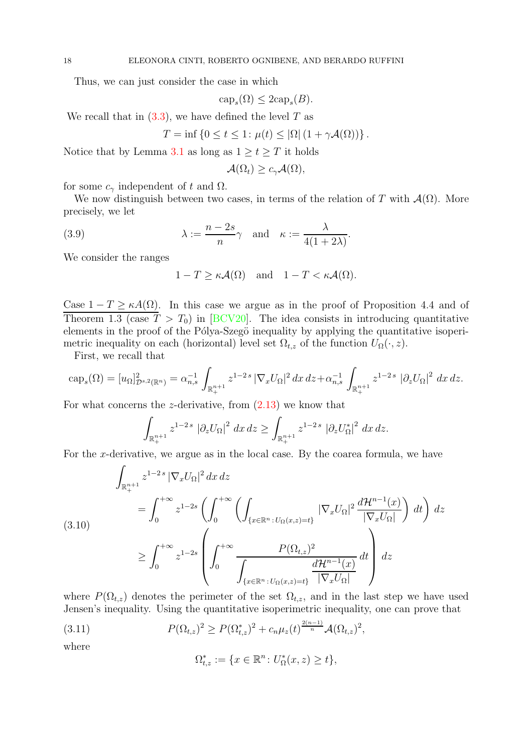Thus, we can just consider the case in which

$$
\text{cap}_s(\Omega) \le 2\text{cap}_s(B).
$$

We recall that in  $(3.3)$ , we have defined the level T as

$$
T = \inf \{ 0 \le t \le 1 : \mu(t) \le |\Omega| (1 + \gamma \mathcal{A}(\Omega)) \}.
$$

Notice that by Lemma [3.1](#page-13-2) as long as  $1 \ge t \ge T$  it holds

$$
\mathcal{A}(\Omega_t) \geq c_\gamma \mathcal{A}(\Omega),
$$

for some  $c_{\gamma}$  independent of t and  $\Omega$ .

We now distinguish between two cases, in terms of the relation of T with  $\mathcal{A}(\Omega)$ . More precisely, we let

<span id="page-17-2"></span>(3.9) 
$$
\lambda := \frac{n - 2s}{n} \gamma \quad \text{and} \quad \kappa := \frac{\lambda}{4(1 + 2\lambda)}.
$$

We consider the ranges

$$
1 - T \ge \kappa \mathcal{A}(\Omega) \quad \text{and} \quad 1 - T < \kappa \mathcal{A}(\Omega).
$$

Case  $1 - T \geq \kappa A(\Omega)$ . In this case we argue as in the proof of Proposition 4.4 and of Theorem 1.3 (case  $T > T_0$ ) in [\[BCV20\]](#page-24-4). The idea consists in introducing quantitative elements in the proof of the Pólya-Szegö inequality by applying the quantitative isoperimetric inequality on each (horizontal) level set  $\Omega_{t,z}$  of the function  $U_{\Omega}(\cdot, z)$ .

First, we recall that

$$
\operatorname{cap}_s(\Omega) = [u_\Omega]_{\mathcal{D}^{s,2}(\mathbb{R}^n)}^2 = \alpha_{n,s}^{-1} \int_{\mathbb{R}^{n+1}_+} z^{1-2s} \left| \nabla_x U_\Omega \right|^2 dx \, dz + \alpha_{n,s}^{-1} \int_{\mathbb{R}^{n+1}_+} z^{1-2s} \left| \partial_z U_\Omega \right|^2 dx \, dz.
$$

For what concerns the z-derivative, from  $(2.13)$  we know that

$$
\int_{\mathbb{R}^{n+1}_+} z^{1-2s} |\partial_z U_{\Omega}|^2 dx dz \ge \int_{\mathbb{R}^{n+1}_+} z^{1-2s} |\partial_z U_{\Omega}^*|^2 dx dz.
$$

For the x-derivative, we argue as in the local case. By the coarea formula, we have

<span id="page-17-1"></span>
$$
\int_{\mathbb{R}^{n+1}_+} z^{1-2s} |\nabla_x U_{\Omega}|^2 dx dz
$$
\n
$$
= \int_0^{+\infty} z^{1-2s} \left( \int_0^{+\infty} \left( \int_{\{x \in \mathbb{R}^n : U_{\Omega}(x,z) = t\}} |\nabla_x U_{\Omega}|^2 \frac{d\mathcal{H}^{n-1}(x)}{|\nabla_x U_{\Omega}|} \right) dt \right) dz
$$
\n
$$
\geq \int_0^{+\infty} z^{1-2s} \left( \int_0^{+\infty} \frac{P(\Omega_{t,z})^2}{\int_{\{x \in \mathbb{R}^n : U_{\Omega}(x,z) = t\}} \frac{d\mathcal{H}^{n-1}(x)}{|\nabla_x U_{\Omega}|} dt \right) dz}
$$

where  $P(\Omega_{t,z})$  denotes the perimeter of the set  $\Omega_{t,z}$ , and in the last step we have used Jensen's inequality. Using the quantitative isoperimetric inequality, one can prove that

<span id="page-17-0"></span>(3.11) 
$$
P(\Omega_{t,z})^2 \geq P(\Omega_{t,z}^*)^2 + c_n \mu_z(t)^{\frac{2(n-1)}{n}} A(\Omega_{t,z})^2,
$$

where

$$
\Omega^*_{t,z} := \{ x \in \mathbb{R}^n \colon U^*_\Omega(x,z) \ge t \},
$$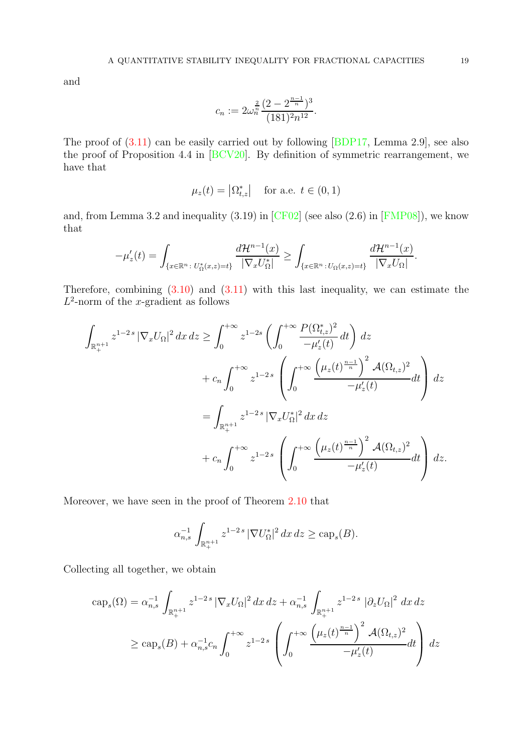and

$$
c_n := 2\omega_n^{\frac{2}{n}} \frac{(2 - 2^{\frac{n-1}{n}})^3}{(181)^2 n^{12}}.
$$

The proof of [\(3.11\)](#page-17-0) can be easily carried out by following [\[BDP17,](#page-24-10) Lemma 2.9], see also the proof of Proposition 4.4 in [\[BCV20\]](#page-24-4). By definition of symmetric rearrangement, we have that

$$
\mu_z(t) = \left| \Omega_{t,z}^* \right| \quad \text{for a.e. } t \in (0,1)
$$

and, from Lemma 3.2 and inequality  $(3.19)$  in  $[CF02]$  (see also  $(2.6)$  in  $[FMP08]$ ), we know that

$$
-\mu'_z(t) = \int_{\{x \in \mathbb{R}^n : U^*_\Omega(x,z) = t\}} \frac{d\mathcal{H}^{n-1}(x)}{|\nabla_x U^*_\Omega|} \ge \int_{\{x \in \mathbb{R}^n : U_\Omega(x,z) = t\}} \frac{d\mathcal{H}^{n-1}(x)}{|\nabla_x U_\Omega|}.
$$

Therefore, combining [\(3.10\)](#page-17-1) and [\(3.11\)](#page-17-0) with this last inequality, we can estimate the  $L^2$ -norm of the x-gradient as follows

$$
\int_{\mathbb{R}_{+}^{n+1}} z^{1-2s} |\nabla_x U_{\Omega}|^2 dx \, dz \ge \int_0^{+\infty} z^{1-2s} \left( \int_0^{+\infty} \frac{P(\Omega_{t,z}^*)^2}{-\mu_z'(t)} dt \right) dz \n+ c_n \int_0^{+\infty} z^{1-2s} \left( \int_0^{+\infty} \frac{\left(\mu_z(t)^{\frac{n-1}{n}}\right)^2 \mathcal{A}(\Omega_{t,z})^2}{-\mu_z'(t)} dt \right) dz \n= \int_{\mathbb{R}_{+}^{n+1}} z^{1-2s} |\nabla_x U_{\Omega}^*|^2 dx dz \n+ c_n \int_0^{+\infty} z^{1-2s} \left( \int_0^{+\infty} \frac{\left(\mu_z(t)^{\frac{n-1}{n}}\right)^2 \mathcal{A}(\Omega_{t,z})^2}{-\mu_z'(t)} dt \right) dz.
$$

Moreover, we have seen in the proof of Theorem [2.10](#page-13-1) that

$$
\alpha_{n,s}^{-1} \int_{\mathbb{R}^{n+1}_+} z^{1-2s} |\nabla U_{\Omega}^*|^2 dx dz \geq \text{cap}_s(B).
$$

Collecting all together, we obtain

$$
\begin{split} \operatorname{cap}_s(\Omega) &= \alpha_{n,s}^{-1} \int_{\mathbb{R}_+^{n+1}} z^{1-2s} \left| \nabla_x U_{\Omega} \right|^2 dx \, dz + \alpha_{n,s}^{-1} \int_{\mathbb{R}_+^{n+1}} z^{1-2s} \left| \partial_z U_{\Omega} \right|^2 \, dx \, dz \\ &\ge \operatorname{cap}_s(B) + \alpha_{n,s}^{-1} c_n \int_0^{+\infty} z^{1-2s} \left( \int_0^{+\infty} \frac{\left(\mu_z(t)^{\frac{n-1}{n}}\right)^2 \mathcal{A}(\Omega_{t,z})^2}{-\mu'_z(t)} dt \right) \, dz \end{split}
$$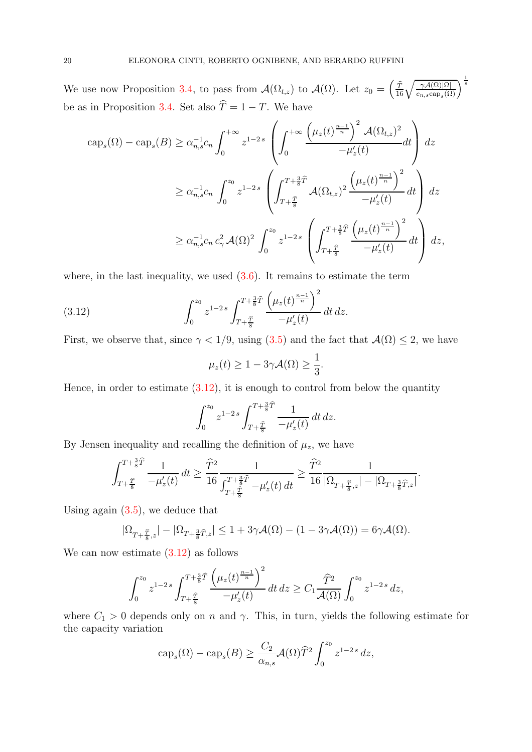We use now Proposition [3.4,](#page-15-4) to pass from  $\mathcal{A}(\Omega_{t,z})$  to  $\mathcal{A}(\Omega)$ . Let  $z_0 = \left(\frac{\widehat{T}}{16}\sqrt{\frac{\gamma\mathcal{A}(\Omega)|\Omega|}{c_{n,s}\text{cap}_s(\Omega)}}\right)^{\frac{1}{s}}$ be as in Proposition [3.4.](#page-15-4) Set also  $\hat{T} = 1 - T$ . We have

$$
\begin{split} \textup{cap}_{s}(\Omega) - \textup{cap}_{s}(B) &\ge \alpha_{n,s}^{-1} c_{n} \int_{0}^{+\infty} z^{1-2s} \left( \int_{0}^{+\infty} \frac{\left(\mu_{z}(t)^{\frac{n-1}{n}}\right)^{2} \mathcal{A}(\Omega_{t,z})^{2}}{-\mu_{z}'(t)} dt \right) dz \\ &\ge \alpha_{n,s}^{-1} c_{n} \int_{0}^{z_{0}} z^{1-2s} \left( \int_{T+\frac{\widehat{T}}{8}}^{T+\frac{3}{8}\widehat{T}} \mathcal{A}(\Omega_{t,z})^{2} \frac{\left(\mu_{z}(t)^{\frac{n-1}{n}}\right)^{2}}{-\mu_{z}'(t)} dt \right) dz \\ &\ge \alpha_{n,s}^{-1} c_{n} \, c_{\gamma}^{2} \, \mathcal{A}(\Omega)^{2} \int_{0}^{z_{0}} z^{1-2s} \left( \int_{T+\frac{\widehat{T}}{8}}^{T+\frac{3}{8}\widehat{T}} \frac{\left(\mu_{z}(t)^{\frac{n-1}{n}}\right)^{2}}{-\mu_{z}'(t)} dt \right) dz, \end{split}
$$

where, in the last inequality, we used  $(3.6)$ . It remains to estimate the term

<span id="page-19-0"></span>(3.12) 
$$
\int_0^{z_0} z^{1-2s} \int_{T+\frac{\widehat{T}}{8}}^{T+\frac{3}{8}\widehat{T}} \frac{\left(\mu_z(t)^{\frac{n-1}{n}}\right)^2}{-\mu'_z(t)} dt dz.
$$

First, we observe that, since  $\gamma < 1/9$ , using [\(3.5\)](#page-15-2) and the fact that  $\mathcal{A}(\Omega) \leq 2$ , we have

$$
\mu_z(t) \ge 1 - 3\gamma \mathcal{A}(\Omega) \ge \frac{1}{3}.
$$

Hence, in order to estimate  $(3.12)$ , it is enough to control from below the quantity

$$
\int_0^{z_0} z^{1-2s} \int_{T+\frac{\widehat{T}}{8}}^{T+\frac{3}{8}\widehat{T}} \frac{1}{-\mu'_z(t)} dt dz.
$$

By Jensen inequality and recalling the definition of  $\mu_z$ , we have

$$
\int_{T+\frac{\hat T}{8}}^{T+\frac{3}{8}\hat T}\frac{1}{-\mu_z'(t)}\,dt\geq \frac{\hat T^2}{16}\frac{1}{\int_{T+\frac{\hat T}{8}}^{T+\frac{3}{8}\hat T}\frac{\mu_z'(t)}{-\mu_z'(t)}\,dt}\geq \frac{\hat T^2}{16}\frac{1}{|\Omega_{T+\frac{\hat T}{8},z}|-|\Omega_{T+\frac{3}{8}\hat T,z}|}.
$$

Using again  $(3.5)$ , we deduce that

$$
|\Omega_{T+\frac{\widehat{T}}{8},z}|-|\Omega_{T+\frac{3}{8}\widehat{T},z}|\leq 1+3\gamma\mathcal{A}(\Omega)-(1-3\gamma\mathcal{A}(\Omega))=6\gamma\mathcal{A}(\Omega).
$$

We can now estimate  $(3.12)$  as follows

$$
\int_0^{z_0} z^{1-2s} \int_{T+\frac{\widehat{T}}{8}}^{T+\frac{3}{8}\widehat{T}} \frac{\left(\mu_z(t)^{\frac{n-1}{n}}\right)^2}{-\mu'_z(t)} dt dz \ge C_1 \frac{\widehat{T}^2}{\mathcal{A}(\Omega)} \int_0^{z_0} z^{1-2s} dz,
$$

where  $C_1 > 0$  depends only on n and  $\gamma$ . This, in turn, yields the following estimate for the capacity variation

$$
\operatorname{cap}_s(\Omega) - \operatorname{cap}_s(B) \ge \frac{C_2}{\alpha_{n,s}} \mathcal{A}(\Omega) \widehat{T}^2 \int_0^{z_0} z^{1-2s} dz,
$$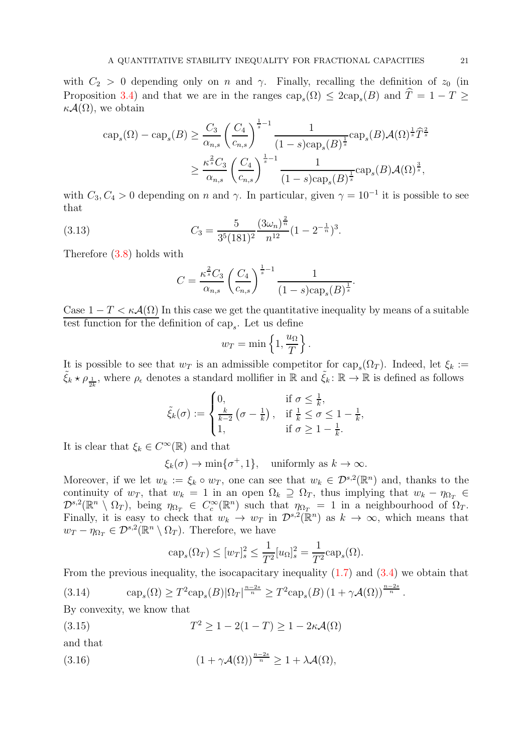with  $C_2 > 0$  depending only on n and  $\gamma$ . Finally, recalling the definition of  $z_0$  (in Proposition [3.4\)](#page-15-4) and that we are in the ranges  $\text{cap}_s(\Omega) \leq 2\text{cap}_s(B)$  and  $T = 1 - T \geq$  $\kappa \mathcal{A}(\Omega)$ , we obtain

$$
\begin{split} \text{cap}_{s}(\Omega) - \text{cap}_{s}(B) &\geq \frac{C_{3}}{\alpha_{n,s}} \left(\frac{C_{4}}{c_{n,s}}\right)^{\frac{1}{s}-1} \frac{1}{(1-s)\text{cap}_{s}(B)^{\frac{1}{s}}}\text{cap}_{s}(B) \mathcal{A}(\Omega)^{\frac{1}{s}} \hat{T}^{\frac{2}{s}} \\ &\geq \frac{\kappa^{\frac{2}{s}} C_{3}}{\alpha_{n,s}} \left(\frac{C_{4}}{c_{n,s}}\right)^{\frac{1}{s}-1} \frac{1}{(1-s)\text{cap}_{s}(B)^{\frac{1}{s}}}\text{cap}_{s}(B) \mathcal{A}(\Omega)^{\frac{3}{s}}, \end{split}
$$

with  $C_3, C_4 > 0$  depending on n and  $\gamma$ . In particular, given  $\gamma = 10^{-1}$  it is possible to see that

<span id="page-20-3"></span>(3.13) 
$$
C_3 = \frac{5}{3^5 (181)^2} \frac{(3\omega_n)^{\frac{2}{n}}}{n^{12}} (1 - 2^{-\frac{1}{n}})^3.
$$

Therefore [\(3.8\)](#page-16-1) holds with

$$
C = \frac{\kappa^{\frac{2}{s}} C_3}{\alpha_{n,s}} \left(\frac{C_4}{c_{n,s}}\right)^{\frac{1}{s}-1} \frac{1}{(1-s)\text{cap}_s(B)^{\frac{1}{s}}}.
$$

Case  $1 - T < \kappa \mathcal{A}(\Omega)$  In this case we get the quantitative inequality by means of a suitable test function for the definition of  $\text{cap}_s$ . Let us define

$$
w_T = \min\left\{1, \frac{u_{\Omega}}{T}\right\}.
$$

It is possible to see that  $w_T$  is an admissible competitor for  $\text{cap}_s(\Omega_T)$ . Indeed, let  $\xi_k :=$  $\tilde{\xi}_k \star \rho_{\frac{1}{2k}}$ , where  $\rho_{\epsilon}$  denotes a standard mollifier in  $\mathbb R$  and  $\tilde{\xi}_k : \mathbb R \to \mathbb R$  is defined as follows

$$
\tilde{\xi}_k(\sigma) := \begin{cases} 0, & \text{if } \sigma \leq \frac{1}{k}, \\ \frac{k}{k-2} \left( \sigma - \frac{1}{k} \right), & \text{if } \frac{1}{k} \leq \sigma \leq 1 - \frac{1}{k}, \\ 1, & \text{if } \sigma \geq 1 - \frac{1}{k}. \end{cases}
$$

It is clear that  $\xi_k \in C^{\infty}(\mathbb{R})$  and that

$$
\xi_k(\sigma) \to \min{\lbrace \sigma^+, 1 \rbrace}
$$
, uniformly as  $k \to \infty$ .

Moreover, if we let  $w_k := \xi_k \circ w_T$ , one can see that  $w_k \in \mathcal{D}^{s,2}(\mathbb{R}^n)$  and, thanks to the continuity of  $w_T$ , that  $w_k = 1$  in an open  $\Omega_k \supseteq \Omega_T$ , thus implying that  $w_k - \eta_{\Omega_T} \in$  $\mathcal{D}^{s,2}(\mathbb{R}^n \setminus \Omega_T)$ , being  $\eta_{\Omega_T} \in C_c^{\infty}(\mathbb{R}^n)$  such that  $\eta_{\Omega_T} = 1$  in a neighbourhood of  $\Omega_T$ . Finally, it is easy to check that  $w_k \to w_T$  in  $\mathcal{D}^{s,2}(\mathbb{R}^n)$  as  $k \to \infty$ , which means that  $w_T - \eta_{\Omega_T} \in \mathcal{D}^{s,2}(\mathbb{R}^n \setminus \Omega_T)$ . Therefore, we have

$$
\operatorname{cap}_s(\Omega_T) \le [w_T]_s^2 \le \frac{1}{T^2} [u_\Omega]_s^2 = \frac{1}{T^2} \operatorname{cap}_s(\Omega).
$$

From the previous inequality, the isocapacitary inequality  $(1.7)$  and  $(3.4)$  we obtain that

<span id="page-20-0"></span>(3.14) 
$$
\operatorname{cap}_s(\Omega) \geq T^2 \operatorname{cap}_s(B) |\Omega_T|^{\frac{n-2s}{n}} \geq T^2 \operatorname{cap}_s(B) (1 + \gamma \mathcal{A}(\Omega))^{\frac{n-2s}{n}}.
$$

By convexity, we know that

<span id="page-20-1"></span>(3.15) 
$$
T^2 \ge 1 - 2(1 - T) \ge 1 - 2\kappa \mathcal{A}(\Omega)
$$

and that

<span id="page-20-2"></span>(3.16) 
$$
(1 + \gamma \mathcal{A}(\Omega))^{\frac{n-2s}{n}} \geq 1 + \lambda \mathcal{A}(\Omega),
$$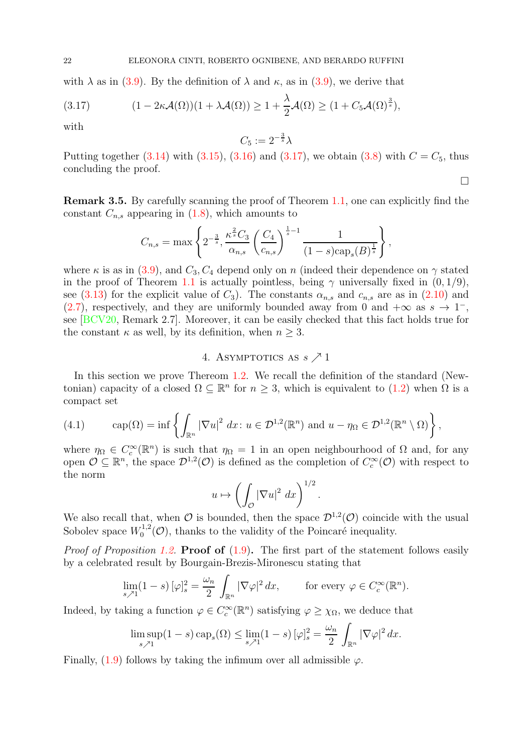with  $\lambda$  as in [\(3.9\)](#page-17-2). By the definition of  $\lambda$  and  $\kappa$ , as in (3.9), we derive that

<span id="page-21-3"></span>(3.17) 
$$
(1 - 2\kappa \mathcal{A}(\Omega))(1 + \lambda \mathcal{A}(\Omega)) \ge 1 + \frac{\lambda}{2} \mathcal{A}(\Omega) \ge (1 + C_5 \mathcal{A}(\Omega)^{\frac{3}{s}}),
$$

with

$$
C_5 := 2^{-\frac{3}{s}} \lambda
$$

Putting together  $(3.14)$  with  $(3.15)$ ,  $(3.16)$  and  $(3.17)$ , we obtain  $(3.8)$  with  $C = C_5$ , thus concluding the proof.  $\Box$ 

<span id="page-21-1"></span>Remark 3.5. By carefully scanning the proof of Theorem [1.1,](#page-2-0) one can explicitly find the constant  $C_{n,s}$  appearing in  $(1.8)$ , which amounts to

$$
C_{n,s} = \max\left\{2^{-\frac{3}{s}}, \frac{\kappa^{\frac{2}{s}}C_3}{\alpha_{n,s}} \left(\frac{C_4}{c_{n,s}}\right)^{\frac{1}{s}-1} \frac{1}{(1-s)\text{cap}_s(B)^{\frac{1}{s}}}\right\},\,
$$

where  $\kappa$  is as in [\(3.9\)](#page-17-2), and  $C_3, C_4$  depend only on n (indeed their dependence on  $\gamma$  stated in the proof of Theorem [1.1](#page-2-0) is actually pointless, being  $\gamma$  universally fixed in  $(0, 1/9)$ , see [\(3.13\)](#page-20-3) for the explicit value of  $C_3$ ). The constants  $\alpha_{n,s}$  and  $c_{n,s}$  are as in [\(2.10\)](#page-10-2) and [\(2.7\)](#page-10-5), respectively, and they are uniformly bounded away from 0 and  $+\infty$  as  $s \to 1^-$ , see [\[BCV20,](#page-24-4) Remark 2.7]. Moreover, it can be easily checked that this fact holds true for the constant  $\kappa$  as well, by its definition, when  $n \geq 3$ .

# 4. ASYMPTOTICS AS  $s \nearrow 1$

<span id="page-21-0"></span>In this section we prove Thereom [1.2.](#page-2-4) We recall the definition of the standard (Newtonian) capacity of a closed  $\Omega \subseteq \mathbb{R}^n$  for  $n \geq 3$ , which is equivalent to  $(1.2)$  when  $\Omega$  is a compact set

<span id="page-21-2"></span>(4.1) 
$$
\text{cap}(\Omega) = \inf \left\{ \int_{\mathbb{R}^n} |\nabla u|^2 dx : u \in \mathcal{D}^{1,2}(\mathbb{R}^n) \text{ and } u - \eta_\Omega \in \mathcal{D}^{1,2}(\mathbb{R}^n \setminus \Omega) \right\},
$$

where  $\eta_{\Omega} \in C_c^{\infty}(\mathbb{R}^n)$  is such that  $\eta_{\Omega} = 1$  in an open neighbourhood of  $\Omega$  and, for any open  $\mathcal{O} \subseteq \mathbb{R}^n$ , the space  $\mathcal{D}^{1,2}(\mathcal{O})$  is defined as the completion of  $C_c^{\infty}(\mathcal{O})$  with respect to the norm

$$
u \mapsto \left(\int_{\mathcal{O}} |\nabla u|^2 \ dx\right)^{1/2}.
$$

We also recall that, when  $\mathcal O$  is bounded, then the space  $\mathcal D^{1,2}(\mathcal O)$  coincide with the usual Sobolev space  $W_0^{1,2}$  $\int_0^{1,2}$ (*C*), thanks to the validity of the Poincaré inequality.

*Proof of Proposition [1.2.](#page-2-4)* **Proof of**  $(1.9)$ . The first part of the statement follows easily by a celebrated result by Bourgain-Brezis-Mironescu stating that

$$
\lim_{s \nearrow 1} (1-s) \, [\varphi]_s^2 = \frac{\omega_n}{2} \int_{\mathbb{R}^n} |\nabla \varphi|^2 \, dx, \qquad \text{for every } \varphi \in C_c^{\infty}(\mathbb{R}^n).
$$

Indeed, by taking a function  $\varphi \in C_c^{\infty}(\mathbb{R}^n)$  satisfying  $\varphi \geq \chi_{\Omega}$ , we deduce that

$$
\limsup_{s \nearrow 1} (1-s) \operatorname{cap}_s(\Omega) \le \lim_{s \nearrow 1} (1-s) \, [\varphi]_s^2 = \frac{\omega_n}{2} \, \int_{\mathbb{R}^n} |\nabla \varphi|^2 \, dx.
$$

Finally, [\(1.9\)](#page-2-5) follows by taking the infimum over all admissible  $\varphi$ .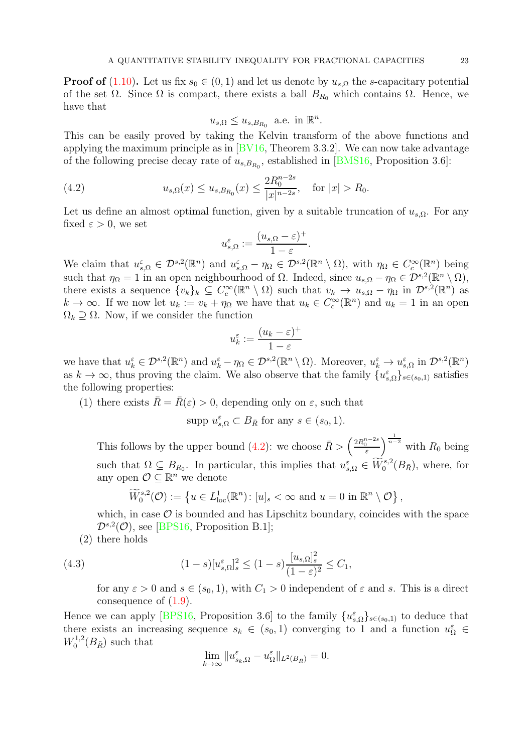**Proof of** [\(1.10\)](#page-2-6). Let us fix  $s_0 \in (0, 1)$  and let us denote by  $u_{s,\Omega}$  the s-capacitary potential of the set  $\Omega$ . Since  $\Omega$  is compact, there exists a ball  $B_{R_0}$  which contains  $\Omega$ . Hence, we have that

$$
u_{s,\Omega} \leq u_{s,B_{R_0}}
$$
 a.e. in  $\mathbb{R}^n$ .

This can be easily proved by taking the Kelvin transform of the above functions and applying the maximum principle as in  $BVI6$ , Theorem 3.3.2. We can now take advantage of the following precise decay rate of  $u_{s,B_{R_0}}$ , established in [\[BMS16,](#page-24-13) Proposition 3.6]:

<span id="page-22-0"></span>(4.2) 
$$
u_{s,\Omega}(x) \le u_{s,B_{R_0}}(x) \le \frac{2R_0^{n-2s}}{|x|^{n-2s}}, \text{ for } |x| > R_0.
$$

Let us define an almost optimal function, given by a suitable truncation of  $u_{s,\Omega}$ . For any fixed  $\varepsilon > 0$ , we set

$$
u_{s,\Omega}^{\varepsilon} := \frac{(u_{s,\Omega} - \varepsilon)^{+}}{1 - \varepsilon}.
$$

We claim that  $u_{s,\Omega}^{\varepsilon} \in \mathcal{D}^{s,2}(\mathbb{R}^n)$  and  $u_{s,\Omega}^{\varepsilon} - \eta_{\Omega} \in \mathcal{D}^{s,2}(\mathbb{R}^n \setminus \Omega)$ , with  $\eta_{\Omega} \in C_c^{\infty}(\mathbb{R}^n)$  being such that  $\eta_{\Omega} = 1$  in an open neighbourhood of  $\Omega$ . Indeed, since  $u_{s,\Omega} - \eta_{\Omega} \in \mathcal{D}^{s,2}(\mathbb{R}^n \setminus \Omega)$ , there exists a sequence  $\{v_k\}_k \subseteq C_c^{\infty}(\mathbb{R}^n \setminus \Omega)$  such that  $v_k \to u_{s,\Omega} - \eta_{\Omega}$  in  $\mathcal{D}^{s,2}(\mathbb{R}^n)$  as  $k \to \infty$ . If we now let  $u_k := v_k + \eta_\Omega$  we have that  $u_k \in C_c^{\infty}(\mathbb{R}^n)$  and  $u_k = 1$  in an open  $\Omega_k \supseteq \Omega$ . Now, if we consider the function

$$
u_k^{\varepsilon} := \frac{(u_k - \varepsilon)^+}{1 - \varepsilon}
$$

we have that  $u_k^{\varepsilon} \in \mathcal{D}^{s,2}(\mathbb{R}^n)$  and  $u_k^{\varepsilon} - \eta_{\Omega} \in \mathcal{D}^{s,2}(\mathbb{R}^n \setminus \Omega)$ . Moreover,  $u_k^{\varepsilon} \to u_{s,\Omega}^{\varepsilon}$  in  $\mathcal{D}^{s,2}(\mathbb{R}^n)$ as  $k \to \infty$ , thus proving the claim. We also observe that the family  $\{u_{s,\Omega}^{\varepsilon}\}_{s \in (s_0,1)}$  satisfies the following properties:

(1) there exists  $\bar{R} = \bar{R}(\varepsilon) > 0$ , depending only on  $\varepsilon$ , such that

supp  $u_{s,\Omega}^{\varepsilon} \subset B_{\bar{R}}$  for any  $s \in (s_0, 1)$ .

This follows by the upper bound [\(4.2\)](#page-22-0): we choose  $\bar{R} > \left(\frac{2R_0^{n-2s}}{\varepsilon}\right)$  $\int_{0}^{\frac{1}{n-2}}$  with  $R_0$  being such that  $\Omega \subseteq B_{R_0}$ . In particular, this implies that  $u_{s,\Omega}^{\varepsilon} \in \widetilde{W}^{s,2}_0(B_{\bar{R}})$ , where, for any open  $\mathcal{O} \subseteq \mathbb{R}^n$  we denote

$$
\widetilde{W}^{s,2}_0(\mathcal{O}) := \left\{ u \in L^1_{loc}(\mathbb{R}^n) \colon [u]_s < \infty \text{ and } u = 0 \text{ in } \mathbb{R}^n \setminus \mathcal{O} \right\},\
$$

which, in case  $\mathcal O$  is bounded and has Lipschitz boundary, coincides with the space  $\mathcal{D}^{s,2}(\mathcal{O})$ , see [\[BPS16,](#page-24-14) Proposition B.1];

(2) there holds

<span id="page-22-1"></span>(4.3) 
$$
(1-s)[u_{s,\Omega}^{\varepsilon}]_s^2 \le (1-s)\frac{[u_{s,\Omega}]_s^2}{(1-\varepsilon)^2} \le C_1,
$$

for any  $\varepsilon > 0$  and  $s \in (s_0, 1)$ , with  $C_1 > 0$  independent of  $\varepsilon$  and s. This is a direct consequence of [\(1.9\)](#page-2-5).

Hence we can apply [\[BPS16,](#page-24-14) Proposition 3.6] to the family  $\{u_{s,\Omega}^{\varepsilon}\}_{s\in(s_0,1)}$  to deduce that there exists an increasing sequence  $s_k \in (s_0, 1)$  converging to 1 and a function  $u_{\Omega}^{\varepsilon} \in$  $W_0^{1,2}$  $b_0^{1,2}(B_{\bar{R}})$  such that

$$
\lim_{k \to \infty} \|u_{s_k,\Omega}^{\varepsilon} - u_{\Omega}^{\varepsilon}\|_{L^2(B_{\bar{R}})} = 0.
$$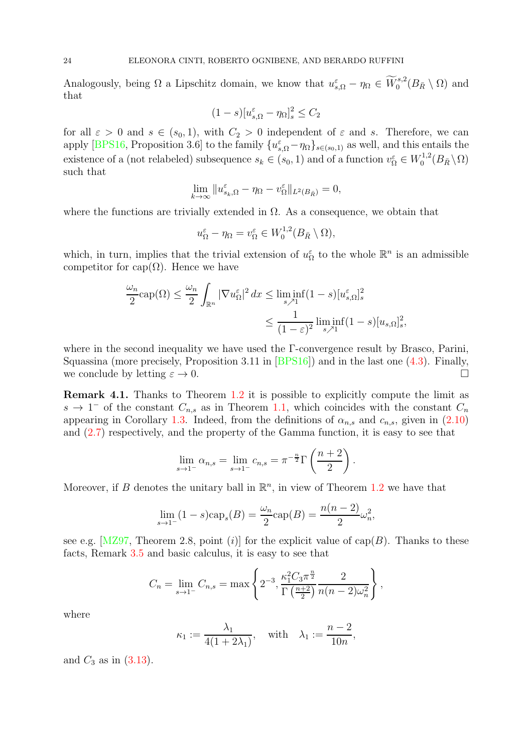Analogously, being  $\Omega$  a Lipschitz domain, we know that  $u_{s,\Omega}^{\varepsilon} - \eta_{\Omega} \in \widetilde{W}^{s,2}_0(B_{\bar{R}} \setminus \Omega)$  and that

$$
(1-s)[u_{s,\Omega}^{\varepsilon}-\eta_{\Omega}]_{s}^{2} \leq C_{2}
$$

for all  $\varepsilon > 0$  and  $s \in (s_0, 1)$ , with  $C_2 > 0$  independent of  $\varepsilon$  and s. Therefore, we can apply [\[BPS16,](#page-24-14) Proposition 3.6] to the family  ${u_{s,\Omega}^{\varepsilon} - \eta_{\Omega}}_{s \in (s_0,1)}$  as well, and this entails the existence of a (not relabeled) subsequence  $s_k \in (s_0, 1)$  and of a function  $v_{\Omega}^{\varepsilon} \in W_0^{1,2}$  $\int_0^{1,2} (B_{\bar{R}} \setminus \Omega)$ such that

$$
\lim_{k \to \infty} \|u_{s_k,\Omega}^{\varepsilon} - \eta_{\Omega} - v_{\Omega}^{\varepsilon}\|_{L^2(B_{\bar{R}})} = 0,
$$

where the functions are trivially extended in  $\Omega$ . As a consequence, we obtain that

$$
u_{\Omega}^{\varepsilon} - \eta_{\Omega} = v_{\Omega}^{\varepsilon} \in W_0^{1,2}(B_{\bar{R}} \setminus \Omega),
$$

which, in turn, implies that the trivial extension of  $u_{\Omega}^{\varepsilon}$  to the whole  $\mathbb{R}^{n}$  is an admissible competitor for cap( $\Omega$ ). Hence we have

$$
\frac{\omega_n}{2} \text{cap}(\Omega) \le \frac{\omega_n}{2} \int_{\mathbb{R}^n} |\nabla u_{\Omega}^{\varepsilon}|^2 dx \le \liminf_{s \nearrow 1} (1-s) [u_{s,\Omega}^{\varepsilon}]_s^2
$$

$$
\le \frac{1}{(1-\varepsilon)^2} \liminf_{s \nearrow 1} (1-s) [u_{s,\Omega}]_s^2,
$$

where in the second inequality we have used the Γ-convergence result by Brasco, Parini, Squassina (more precisely, Proposition 3.11 in [\[BPS16\]](#page-24-14)) and in the last one [\(4.3\)](#page-22-1). Finally, we conclude by letting  $\varepsilon \to 0$ .

<span id="page-23-0"></span>Remark 4.1. Thanks to Theorem [1.2](#page-2-4) it is possible to explicitly compute the limit as  $s \to 1^-$  of the constant  $C_{n,s}$  as in Theorem [1.1,](#page-2-0) which coincides with the constant  $C_n$ appearing in Corollary [1.3.](#page-3-1) Indeed, from the definitions of  $\alpha_{n,s}$  and  $c_{n,s}$ , given in [\(2.10\)](#page-10-2) and [\(2.7\)](#page-10-5) respectively, and the property of the Gamma function, it is easy to see that

$$
\lim_{s \to 1^{-}} \alpha_{n,s} = \lim_{s \to 1^{-}} c_{n,s} = \pi^{-\frac{n}{2}} \Gamma\left(\frac{n+2}{2}\right).
$$

Moreover, if B denotes the unitary ball in  $\mathbb{R}^n$ , in view of Theorem [1.2](#page-2-4) we have that

$$
\lim_{s \to 1^{-}} (1 - s) \c{cap_s}(B) = \frac{\omega_n}{2} \c{cap}(B) = \frac{n(n-2)}{2} \omega_n^2,
$$

see e.g. [\[MZ97,](#page-25-18) Theorem 2.8, point (i)] for the explicit value of cap(B). Thanks to these facts, Remark [3.5](#page-21-1) and basic calculus, it is easy to see that

$$
C_n = \lim_{s \to 1^-} C_{n,s} = \max \left\{ 2^{-3}, \frac{\kappa_1^2 C_3 \pi^{\frac{n}{2}}}{\Gamma(\frac{n+2}{2})} \frac{2}{n(n-2)\omega_n^2} \right\},\,
$$

where

$$
\kappa_1 := \frac{\lambda_1}{4(1+2\lambda_1)}, \quad \text{with} \quad \lambda_1 := \frac{n-2}{10n},
$$

and  $C_3$  as in  $(3.13)$ .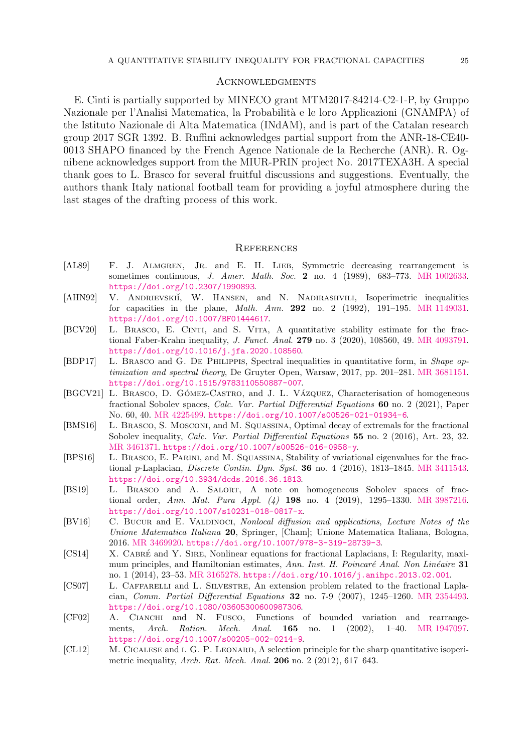### <span id="page-24-0"></span>**ACKNOWLEDGMENTS**

E. Cinti is partially supported by MINECO grant MTM2017-84214-C2-1-P, by Gruppo Nazionale per l'Analisi Matematica, la Probabilità e le loro Applicazioni (GNAMPA) of the Istituto Nazionale di Alta Matematica (INdAM), and is part of the Catalan research group 2017 SGR 1392. B. Ruffini acknowledges partial support from the ANR-18-CE40- 0013 SHAPO financed by the French Agence Nationale de la Recherche (ANR). R. Ognibene acknowledges support from the MIUR-PRIN project No. 2017TEXA3H. A special thank goes to L. Brasco for several fruitful discussions and suggestions. Eventually, the authors thank Italy national football team for providing a joyful atmosphere during the last stages of the drafting process of this work.

#### <span id="page-24-1"></span>**REFERENCES**

- <span id="page-24-3"></span>[AL89] F. J. ALMGREN, JR. and E. H. LIEB, Symmetric decreasing rearrangement is sometimes continuous, J. Amer. Math. Soc. 2 no. 4 (1989), 683–773. [MR 1002633.](http://www.ams.org/mathscinet-getitem?mr=1002633) <https://doi.org/10.2307/1990893>.
- <span id="page-24-2"></span>[AHN92] V. ANDRIEVSKIĬ, W. HANSEN, and N. NADIRASHVILI, Isoperimetric inequalities for capacities in the plane, Math. Ann. 292 no. 2 (1992), 191–195. [MR 1149031.](http://www.ams.org/mathscinet-getitem?mr=1149031) <https://doi.org/10.1007/BF01444617>.
- <span id="page-24-4"></span>[BCV20] L. BRASCO, E. CINTI, and S. VITA, A quantitative stability estimate for the fractional Faber-Krahn inequality, J. Funct. Anal. 279 no. 3 (2020), 108560, 49. [MR 4093791.](http://www.ams.org/mathscinet-getitem?mr=4093791) <https://doi.org/10.1016/j.jfa.2020.108560>.
- <span id="page-24-10"></span>[BDP17] L. Brasco and G. De Philippis, Spectral inequalities in quantitative form, in Shape optimization and spectral theory, De Gruyter Open, Warsaw, 2017, pp. 201–281. [MR 3681151.](http://www.ams.org/mathscinet-getitem?mr=3681151) <https://doi.org/10.1515/9783110550887-007>.
- <span id="page-24-7"></span>[BGCV21] L. BRASCO, D. GÓMEZ-CASTRO, and J. L. VÁZQUEZ, Characterisation of homogeneous fractional Sobolev spaces, Calc. Var. Partial Differential Equations 60 no. 2 (2021), Paper No. 60, 40. [MR 4225499.](http://www.ams.org/mathscinet-getitem?mr=4225499) <https://doi.org/10.1007/s00526-021-01934-6>.
- <span id="page-24-13"></span>[BMS16] L. Brasco, S. Mosconi, and M. Squassina, Optimal decay of extremals for the fractional Sobolev inequality, Calc. Var. Partial Differential Equations 55 no. 2 (2016), Art. 23, 32. [MR 3461371.](http://www.ams.org/mathscinet-getitem?mr=3461371) <https://doi.org/10.1007/s00526-016-0958-y>.
- <span id="page-24-14"></span>[BPS16] L. Brasco, E. Parini, and M. Squassina, Stability of variational eigenvalues for the fractional p-Laplacian, Discrete Contin. Dyn. Syst. 36 no. 4 (2016), 1813–1845. [MR 3411543.](http://www.ams.org/mathscinet-getitem?mr=3411543) <https://doi.org/10.3934/dcds.2016.36.1813>.
- <span id="page-24-6"></span>[BS19] L. BRASCO and A. SALORT, A note on homogeneous Sobolev spaces of fractional order, Ann. Mat. Pura Appl. (4) 198 no. 4 (2019), 1295–1330. [MR 3987216.](http://www.ams.org/mathscinet-getitem?mr=3987216) <https://doi.org/10.1007/s10231-018-0817-x>.
- <span id="page-24-12"></span>[BV16] C. BUCUR and E. VALDINOCI, Nonlocal diffusion and applications, Lecture Notes of the Unione Matematica Italiana 20, Springer, [Cham]; Unione Matematica Italiana, Bologna, 2016. [MR 3469920.](http://www.ams.org/mathscinet-getitem?mr=3469920) <https://doi.org/10.1007/978-3-319-28739-3>.
- <span id="page-24-9"></span>[CS14] X. CABRÉ and Y. SIRE, Nonlinear equations for fractional Laplacians, I: Regularity, maximum principles, and Hamiltonian estimates, Ann. Inst. H. Poincaré Anal. Non Linéaire 31 no. 1 (2014), 23–53. [MR 3165278.](http://www.ams.org/mathscinet-getitem?mr=3165278) <https://doi.org/10.1016/j.anihpc.2013.02.001>.
- <span id="page-24-8"></span>[CS07] L. Caffarelli and L. Silvestre, An extension problem related to the fractional Laplacian, Comm. Partial Differential Equations 32 no. 7-9 (2007), 1245–1260. [MR 2354493.](http://www.ams.org/mathscinet-getitem?mr=2354493) <https://doi.org/10.1080/03605300600987306>.
- <span id="page-24-11"></span>[CF02] A. Cianchi and N. Fusco, Functions of bounded variation and rearrangements, Arch. Ration. Mech. Anal. 165 no. 1 (2002), 1–40. [MR 1947097.](http://www.ams.org/mathscinet-getitem?mr=1947097) <https://doi.org/10.1007/s00205-002-0214-9>.
- <span id="page-24-5"></span>[CL12] M. CICALESE and I. G. P. LEONARD, A selection principle for the sharp quantitative isoperimetric inequality, Arch. Rat. Mech. Anal. 206 no. 2 (2012), 617–643.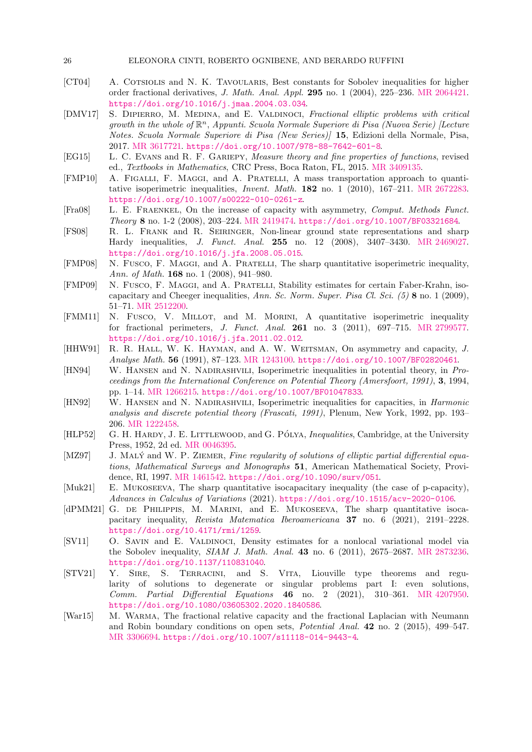#### 26 ELEONORA CINTI, ROBERTO OGNIBENE, AND BERARDO RUFFINI

- <span id="page-25-10"></span>[CT04] A. COTSIOLIS and N. K. TAVOULARIS, Best constants for Sobolev inequalities for higher order fractional derivatives, J. Math. Anal. Appl. 295 no. 1 (2004), 225–236. [MR 2064421.](http://www.ams.org/mathscinet-getitem?mr=2064421) <https://doi.org/10.1016/j.jmaa.2004.03.034>.
- <span id="page-25-13"></span>[DMV17] S. DIPIERRO, M. MEDINA, and E. VALDINOCI, Fractional elliptic problems with critical growth in the whole of  $\mathbb{R}^n$ , Appunti. Scuola Normale Superiore di Pisa (Nuova Serie) [Lecture Notes. Scuola Normale Superiore di Pisa (New Series)] 15, Edizioni della Normale, Pisa, 2017. [MR 3617721.](http://www.ams.org/mathscinet-getitem?mr=3617721) <https://doi.org/10.1007/978-88-7642-601-8>.
- <span id="page-25-17"></span>[EG15] L. C. Evans and R. F. Gariepy, Measure theory and fine properties of functions, revised ed., Textbooks in Mathematics, CRC Press, Boca Raton, FL, 2015. [MR 3409135.](http://www.ams.org/mathscinet-getitem?mr=3409135)
- <span id="page-25-9"></span>[FMP10] A. Figalli, F. Maggi, and A. Pratelli, A mass transportation approach to quantitative isoperimetric inequalities, Invent. Math. 182 no. 1 (2010), 167–211. [MR 2672283.](http://www.ams.org/mathscinet-getitem?mr=2672283) <https://doi.org/10.1007/s00222-010-0261-z>.
- <span id="page-25-3"></span>[Fra08] L. E. Fraenkel, On the increase of capacity with asymmetry, Comput. Methods Funct. Theory 8 no. 1-2 (2008), 203–224. [MR 2419474.](http://www.ams.org/mathscinet-getitem?mr=2419474) <https://doi.org/10.1007/BF03321684>.
- <span id="page-25-7"></span>[FS08] R. L. Frank and R. Seiringer, Non-linear ground state representations and sharp Hardy inequalities, J. Funct. Anal. 255 no. 12 (2008), 3407–3430. [MR 2469027.](http://www.ams.org/mathscinet-getitem?mr=2469027) <https://doi.org/10.1016/j.jfa.2008.05.015>.
- <span id="page-25-8"></span>[FMP08] N. Fusco, F. Maggi, and A. Pratelli, The sharp quantitative isoperimetric inequality, Ann. of Math. **168** no. 1 (2008), 941-980.
- <span id="page-25-4"></span>[FMP09] N. Fusco, F. Maggi, and A. Pratelli, Stability estimates for certain Faber-Krahn, isocapacitary and Cheeger inequalities, Ann. Sc. Norm. Super. Pisa Cl. Sci. (5) 8 no. 1 (2009), 51–71. [MR 2512200.](http://www.ams.org/mathscinet-getitem?mr=2512200)
- <span id="page-25-15"></span>[FMM11] N. Fusco, V. MILLOT, and M. MORINI, A quantitative isoperimetric inequality for fractional perimeters, J. Funct. Anal. 261 no. 3 (2011), 697–715. [MR 2799577.](http://www.ams.org/mathscinet-getitem?mr=2799577) <https://doi.org/10.1016/j.jfa.2011.02.012>.
- <span id="page-25-0"></span>[HHW91] R. R. HALL, W. K. HAYMAN, and A. W. WEITSMAN, On asymmetry and capacity, J. Analyse Math. 56 (1991), 87–123. [MR 1243100.](http://www.ams.org/mathscinet-getitem?mr=1243100) <https://doi.org/10.1007/BF02820461>.
- <span id="page-25-2"></span>[HN94] W. Hansen and N. Nadirashvili, Isoperimetric inequalities in potential theory, in Proceedings from the International Conference on Potential Theory (Amersfoort, 1991), 3, 1994, pp. 1–14. [MR 1266215.](http://www.ams.org/mathscinet-getitem?mr=1266215) <https://doi.org/10.1007/BF01047833>.
- <span id="page-25-1"></span>[HN92] W. Hansen and N. Nadirashvili, Isoperimetric inequalities for capacities, in Harmonic analysis and discrete potential theory (Frascati, 1991), Plenum, New York, 1992, pp. 193– 206. [MR 1222458.](http://www.ams.org/mathscinet-getitem?mr=1222458)
- <span id="page-25-14"></span>[HLP52] G. H. HARDY, J. E. LITTLEWOOD, and G. PÓLYA, *Inequalities*, Cambridge, at the University Press, 1952, 2d ed. [MR 0046395.](http://www.ams.org/mathscinet-getitem?mr=0046395)
- <span id="page-25-18"></span>[MZ97] J. MALY and W. P. ZIEMER, Fine regularity of solutions of elliptic partial differential equations, Mathematical Surveys and Monographs 51, American Mathematical Society, Providence, RI, 1997. [MR 1461542.](http://www.ams.org/mathscinet-getitem?mr=1461542) <https://doi.org/10.1090/surv/051>.
- <span id="page-25-6"></span>[Muk21] E. MUKOSEEVA, The sharp quantitative isocapacitary inequality (the case of p-capacity), Advances in Calculus of Variations (2021). <https://doi.org/10.1515/acv-2020-0106>.
- <span id="page-25-5"></span>[dPMM21] G. DE PHILIPPIS, M. MARINI, and E. MUKOSEEVA, The sharp quantitative isocapacitary inequality, Revista Matematica Iberoamericana 37 no. 6 (2021), 2191–2228. <https://doi.org/10.4171/rmi/1259>.
- <span id="page-25-11"></span>[SV11] O. Savin and E. Valdinoci, Density estimates for a nonlocal variational model via the Sobolev inequality, SIAM J. Math. Anal. 43 no. 6 (2011), 2675–2687. [MR 2873236.](http://www.ams.org/mathscinet-getitem?mr=2873236) <https://doi.org/10.1137/110831040>.
- <span id="page-25-16"></span>[STV21] Y. Sire, S. Terracini, and S. Vita, Liouville type theorems and regularity of solutions to degenerate or singular problems part I: even solutions, Comm. Partial Differential Equations  $46$  no. 2 (2021), 310–361. [MR 4207950.](http://www.ams.org/mathscinet-getitem?mr=4207950) <https://doi.org/10.1080/03605302.2020.1840586>.
- <span id="page-25-12"></span>[War15] M. WARMA, The fractional relative capacity and the fractional Laplacian with Neumann and Robin boundary conditions on open sets, Potential Anal. 42 no. 2 (2015), 499–547. [MR 3306694.](http://www.ams.org/mathscinet-getitem?mr=3306694) <https://doi.org/10.1007/s11118-014-9443-4>.